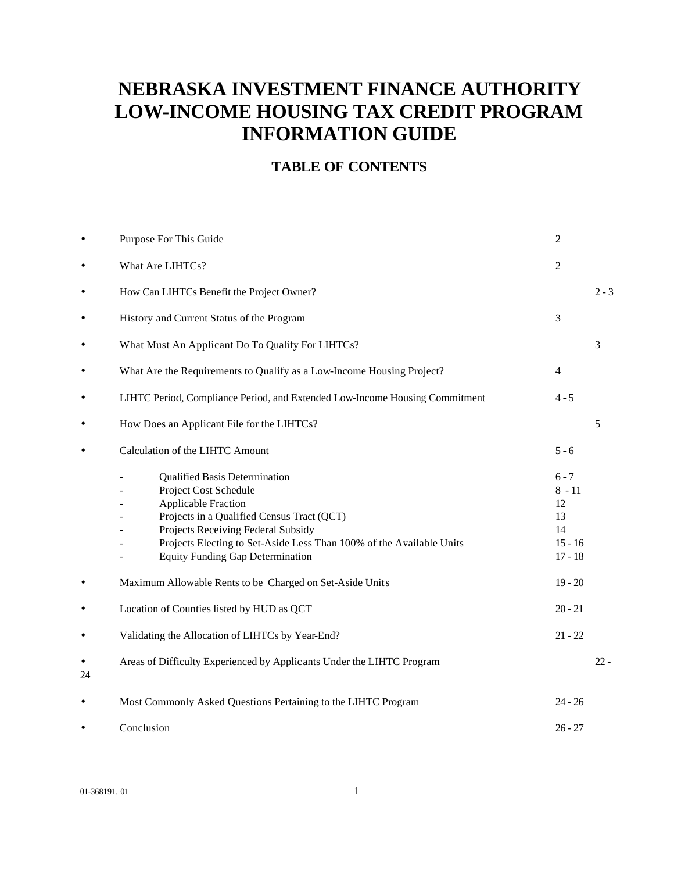# **NEBRASKA INVESTMENT FINANCE AUTHORITY LOW-INCOME HOUSING TAX CREDIT PROGRAM INFORMATION GUIDE**

## **TABLE OF CONTENTS**

|           | Purpose For This Guide                                                                                                                                                                                                                                                                             | 2                                                               |         |
|-----------|----------------------------------------------------------------------------------------------------------------------------------------------------------------------------------------------------------------------------------------------------------------------------------------------------|-----------------------------------------------------------------|---------|
| $\bullet$ | What Are LIHTCs?                                                                                                                                                                                                                                                                                   | 2                                                               |         |
| ٠         | How Can LIHTCs Benefit the Project Owner?                                                                                                                                                                                                                                                          |                                                                 | $2 - 3$ |
| $\bullet$ | History and Current Status of the Program                                                                                                                                                                                                                                                          | 3                                                               |         |
| $\bullet$ | What Must An Applicant Do To Qualify For LIHTCs?                                                                                                                                                                                                                                                   |                                                                 | 3       |
| $\bullet$ | What Are the Requirements to Qualify as a Low-Income Housing Project?                                                                                                                                                                                                                              | $\overline{4}$                                                  |         |
| $\bullet$ | LIHTC Period, Compliance Period, and Extended Low-Income Housing Commitment                                                                                                                                                                                                                        | $4 - 5$                                                         |         |
| $\bullet$ | How Does an Applicant File for the LIHTCs?                                                                                                                                                                                                                                                         |                                                                 | 5       |
|           | Calculation of the LIHTC Amount                                                                                                                                                                                                                                                                    | $5 - 6$                                                         |         |
|           | <b>Qualified Basis Determination</b><br>Project Cost Schedule<br><b>Applicable Fraction</b><br>Projects in a Qualified Census Tract (QCT)<br>Projects Receiving Federal Subsidy<br>Projects Electing to Set-Aside Less Than 100% of the Available Units<br><b>Equity Funding Gap Determination</b> | $6 - 7$<br>$8 - 11$<br>12<br>13<br>14<br>$15 - 16$<br>$17 - 18$ |         |
|           | Maximum Allowable Rents to be Charged on Set-Aside Units                                                                                                                                                                                                                                           | $19 - 20$                                                       |         |
|           | Location of Counties listed by HUD as QCT                                                                                                                                                                                                                                                          | $20 - 21$                                                       |         |
|           | Validating the Allocation of LIHTCs by Year-End?                                                                                                                                                                                                                                                   | $21 - 22$                                                       |         |
| 24        | Areas of Difficulty Experienced by Applicants Under the LIHTC Program                                                                                                                                                                                                                              |                                                                 | $22 -$  |
|           | Most Commonly Asked Questions Pertaining to the LIHTC Program                                                                                                                                                                                                                                      | $24 - 26$                                                       |         |
|           | Conclusion                                                                                                                                                                                                                                                                                         | $26 - 27$                                                       |         |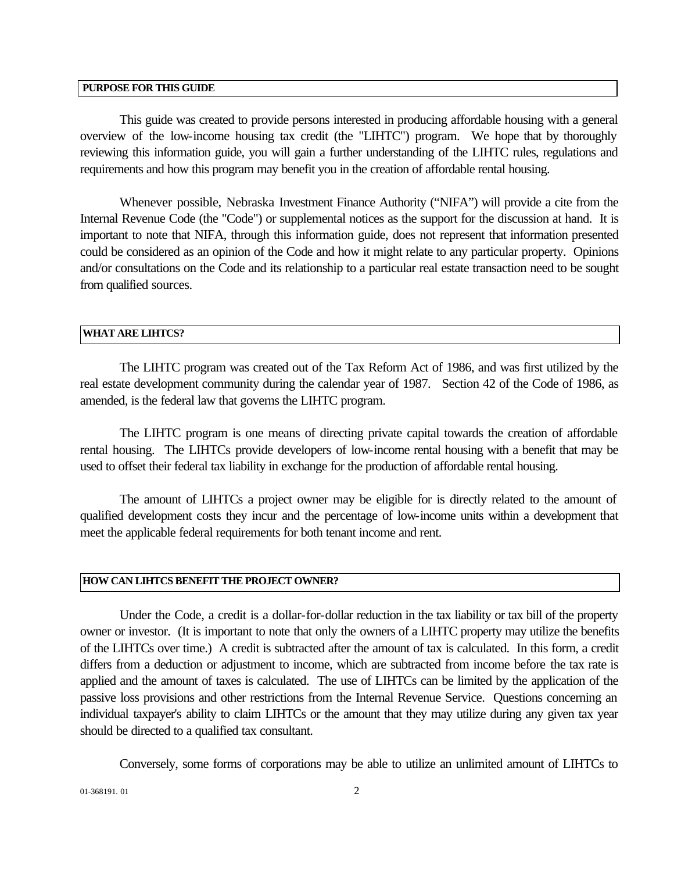#### **PURPOSE FOR THIS GUIDE**

This guide was created to provide persons interested in producing affordable housing with a general overview of the low-income housing tax credit (the "LIHTC") program. We hope that by thoroughly reviewing this information guide, you will gain a further understanding of the LIHTC rules, regulations and requirements and how this program may benefit you in the creation of affordable rental housing.

Whenever possible, Nebraska Investment Finance Authority ("NIFA") will provide a cite from the Internal Revenue Code (the "Code") or supplemental notices as the support for the discussion at hand. It is important to note that NIFA, through this information guide, does not represent that information presented could be considered as an opinion of the Code and how it might relate to any particular property. Opinions and/or consultations on the Code and its relationship to a particular real estate transaction need to be sought from qualified sources.

#### **WHAT ARE LIHTCS?**

The LIHTC program was created out of the Tax Reform Act of 1986, and was first utilized by the real estate development community during the calendar year of 1987. Section 42 of the Code of 1986, as amended, is the federal law that governs the LIHTC program.

The LIHTC program is one means of directing private capital towards the creation of affordable rental housing. The LIHTCs provide developers of low-income rental housing with a benefit that may be used to offset their federal tax liability in exchange for the production of affordable rental housing.

The amount of LIHTCs a project owner may be eligible for is directly related to the amount of qualified development costs they incur and the percentage of low-income units within a development that meet the applicable federal requirements for both tenant income and rent.

### **HOW CAN LIHTCS BENEFIT THE PROJECT OWNER?**

Under the Code, a credit is a dollar-for-dollar reduction in the tax liability or tax bill of the property owner or investor. (It is important to note that only the owners of a LIHTC property may utilize the benefits of the LIHTCs over time.) A credit is subtracted after the amount of tax is calculated. In this form, a credit differs from a deduction or adjustment to income, which are subtracted from income before the tax rate is applied and the amount of taxes is calculated. The use of LIHTCs can be limited by the application of the passive loss provisions and other restrictions from the Internal Revenue Service. Questions concerning an individual taxpayer's ability to claim LIHTCs or the amount that they may utilize during any given tax year should be directed to a qualified tax consultant.

Conversely, some forms of corporations may be able to utilize an unlimited amount of LIHTCs to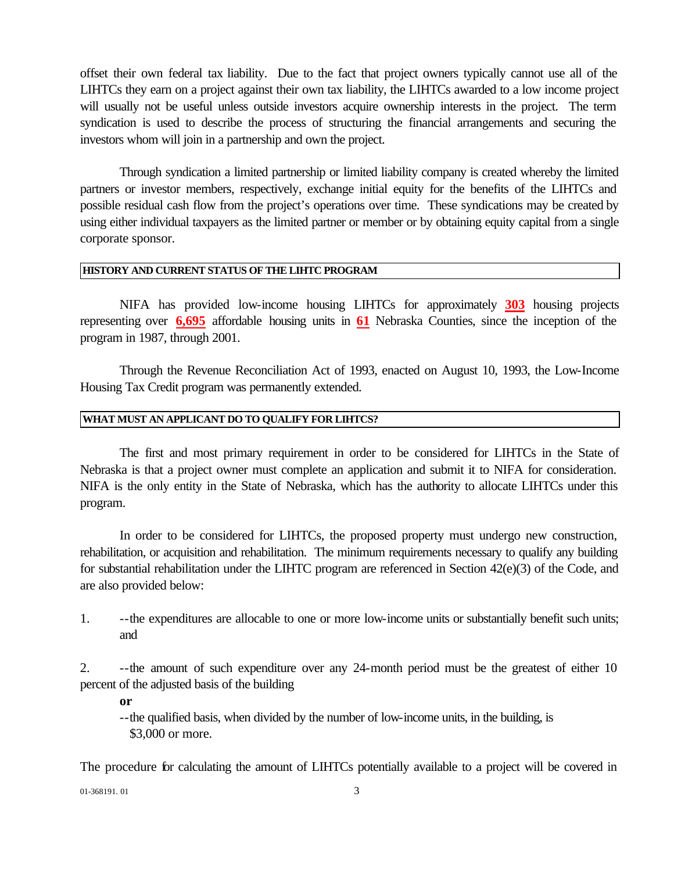offset their own federal tax liability. Due to the fact that project owners typically cannot use all of the LIHTCs they earn on a project against their own tax liability, the LIHTCs awarded to a low income project will usually not be useful unless outside investors acquire ownership interests in the project. The term syndication is used to describe the process of structuring the financial arrangements and securing the investors whom will join in a partnership and own the project.

Through syndication a limited partnership or limited liability company is created whereby the limited partners or investor members, respectively, exchange initial equity for the benefits of the LIHTCs and possible residual cash flow from the project's operations over time. These syndications may be created by using either individual taxpayers as the limited partner or member or by obtaining equity capital from a single corporate sponsor.

#### **HISTORY AND CURRENT STATUS OF THE LIHTC PROGRAM**

NIFA has provided low-income housing LIHTCs for approximately **303** housing projects representing over **6,695** affordable housing units in **61** Nebraska Counties, since the inception of the program in 1987, through 2001.

Through the Revenue Reconciliation Act of 1993, enacted on August 10, 1993, the Low-Income Housing Tax Credit program was permanently extended.

### **WHAT MUST AN APPLICANT DO TO QUALIFY FOR LIHTCS?**

The first and most primary requirement in order to be considered for LIHTCs in the State of Nebraska is that a project owner must complete an application and submit it to NIFA for consideration. NIFA is the only entity in the State of Nebraska, which has the authority to allocate LIHTCs under this program.

In order to be considered for LIHTCs, the proposed property must undergo new construction, rehabilitation, or acquisition and rehabilitation. The minimum requirements necessary to qualify any building for substantial rehabilitation under the LIHTC program are referenced in Section 42(e)(3) of the Code, and are also provided below:

1. --the expenditures are allocable to one or more low-income units or substantially benefit such units; and

2. --the amount of such expenditure over any 24-month period must be the greatest of either 10 percent of the adjusted basis of the building

**or**

--the qualified basis, when divided by the number of low-income units, in the building, is \$3,000 or more.

The procedure for calculating the amount of LIHTCs potentially available to a project will be covered in

01-368191.01 3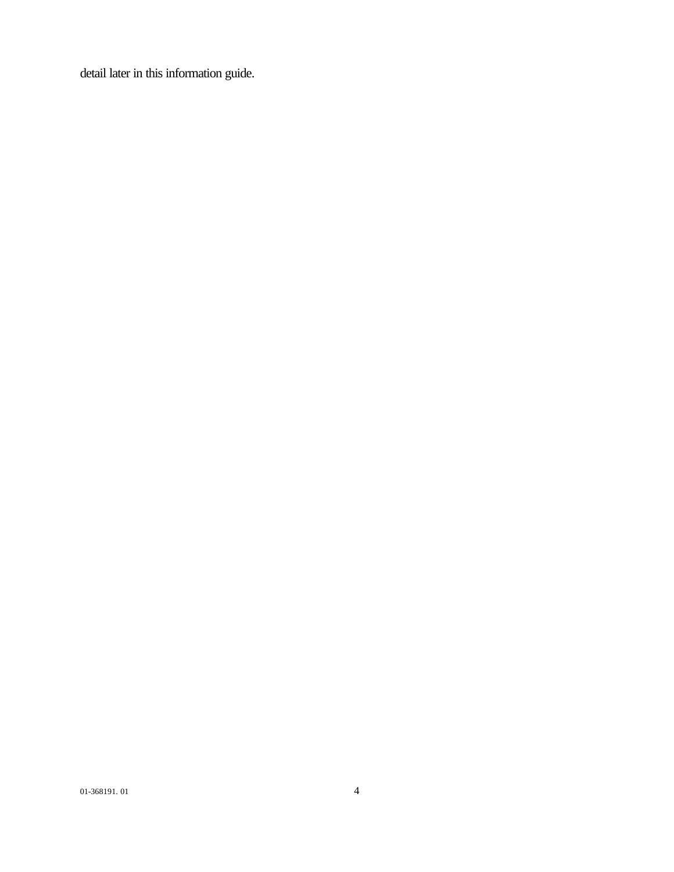detail later in this information guide.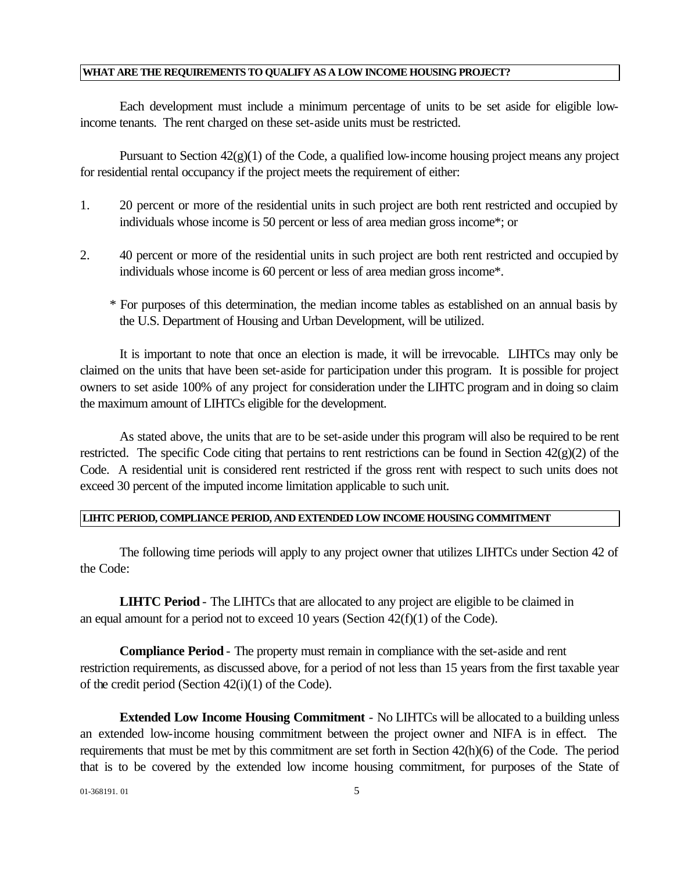### **WHAT ARE THE REQUIREMENTS TO QUALIFY AS A LOW INCOME HOUSING PROJECT?**

Each development must include a minimum percentage of units to be set aside for eligible lowincome tenants. The rent charged on these set-aside units must be restricted.

Pursuant to Section  $42(g)(1)$  of the Code, a qualified low-income housing project means any project for residential rental occupancy if the project meets the requirement of either:

- 1. 20 percent or more of the residential units in such project are both rent restricted and occupied by individuals whose income is 50 percent or less of area median gross income\*; or
- 2. 40 percent or more of the residential units in such project are both rent restricted and occupied by individuals whose income is 60 percent or less of area median gross income\*.
	- \* For purposes of this determination, the median income tables as established on an annual basis by the U.S. Department of Housing and Urban Development, will be utilized.

It is important to note that once an election is made, it will be irrevocable. LIHTCs may only be claimed on the units that have been set-aside for participation under this program. It is possible for project owners to set aside 100% of any project for consideration under the LIHTC program and in doing so claim the maximum amount of LIHTCs eligible for the development.

As stated above, the units that are to be set-aside under this program will also be required to be rent restricted. The specific Code citing that pertains to rent restrictions can be found in Section 42(g)(2) of the Code. A residential unit is considered rent restricted if the gross rent with respect to such units does not exceed 30 percent of the imputed income limitation applicable to such unit.

#### **LIHTC PERIOD, COMPLIANCE PERIOD, AND EXTENDED LOW INCOME HOUSING COMMITMENT**

The following time periods will apply to any project owner that utilizes LIHTCs under Section 42 of the Code:

**LIHTC Period** - The LIHTCs that are allocated to any project are eligible to be claimed in an equal amount for a period not to exceed 10 years (Section  $42(f)(1)$  of the Code).

**Compliance Period** - The property must remain in compliance with the set-aside and rent restriction requirements, as discussed above, for a period of not less than 15 years from the first taxable year of the credit period (Section 42(i)(1) of the Code).

**Extended Low Income Housing Commitment** - No LIHTCs will be allocated to a building unless an extended low-income housing commitment between the project owner and NIFA is in effect. The requirements that must be met by this commitment are set forth in Section 42(h)(6) of the Code. The period that is to be covered by the extended low income housing commitment, for purposes of the State of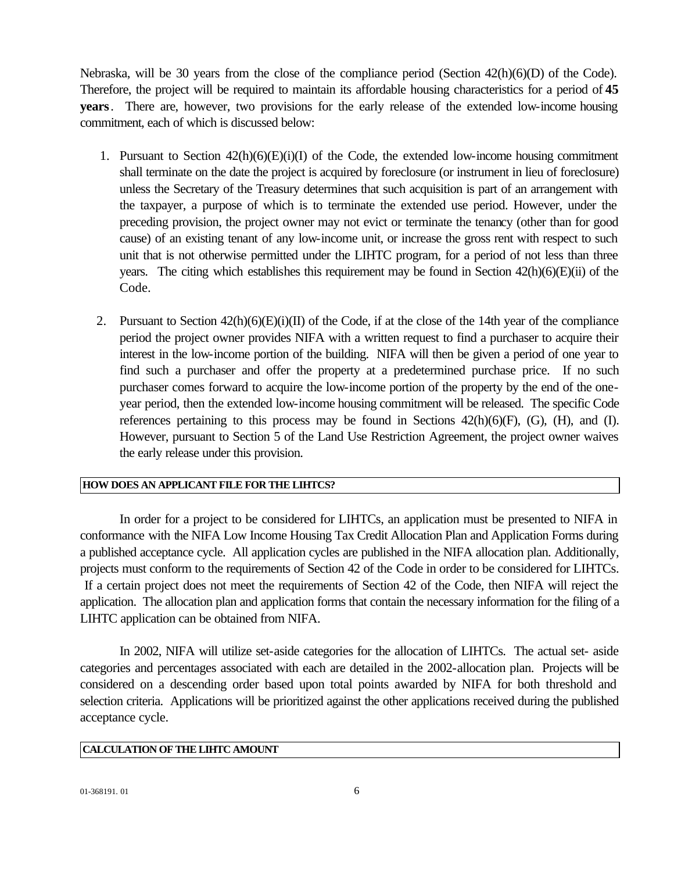Nebraska, will be 30 years from the close of the compliance period (Section 42(h)(6)(D) of the Code). Therefore, the project will be required to maintain its affordable housing characteristics for a period of **45 years**. There are, however, two provisions for the early release of the extended low-income housing commitment, each of which is discussed below:

- 1. Pursuant to Section  $42(h)(6)(E)(i)(I)$  of the Code, the extended low-income housing commitment shall terminate on the date the project is acquired by foreclosure (or instrument in lieu of foreclosure) unless the Secretary of the Treasury determines that such acquisition is part of an arrangement with the taxpayer, a purpose of which is to terminate the extended use period. However, under the preceding provision, the project owner may not evict or terminate the tenancy (other than for good cause) of an existing tenant of any low-income unit, or increase the gross rent with respect to such unit that is not otherwise permitted under the LIHTC program, for a period of not less than three years. The citing which establishes this requirement may be found in Section 42(h)(6)(E)(ii) of the Code.
- 2. Pursuant to Section  $42(h)(6)(E)(i)(II)$  of the Code, if at the close of the 14th year of the compliance period the project owner provides NIFA with a written request to find a purchaser to acquire their interest in the low-income portion of the building. NIFA will then be given a period of one year to find such a purchaser and offer the property at a predetermined purchase price. If no such purchaser comes forward to acquire the low-income portion of the property by the end of the oneyear period, then the extended low-income housing commitment will be released. The specific Code references pertaining to this process may be found in Sections  $42(h)(6)(F)$ , (G), (H), and (I). However, pursuant to Section 5 of the Land Use Restriction Agreement, the project owner waives the early release under this provision.

### **HOW DOES AN APPLICANT FILE FOR THE LIHTCS?**

In order for a project to be considered for LIHTCs, an application must be presented to NIFA in conformance with the NIFA Low Income Housing Tax Credit Allocation Plan and Application Forms during a published acceptance cycle. All application cycles are published in the NIFA allocation plan. Additionally, projects must conform to the requirements of Section 42 of the Code in order to be considered for LIHTCs. If a certain project does not meet the requirements of Section 42 of the Code, then NIFA will reject the application. The allocation plan and application forms that contain the necessary information for the filing of a LIHTC application can be obtained from NIFA.

In 2002, NIFA will utilize set-aside categories for the allocation of LIHTCs. The actual set- aside categories and percentages associated with each are detailed in the 2002-allocation plan. Projects will be considered on a descending order based upon total points awarded by NIFA for both threshold and selection criteria. Applications will be prioritized against the other applications received during the published acceptance cycle.

### **CALCULATION OF THE LIHTC AMOUNT**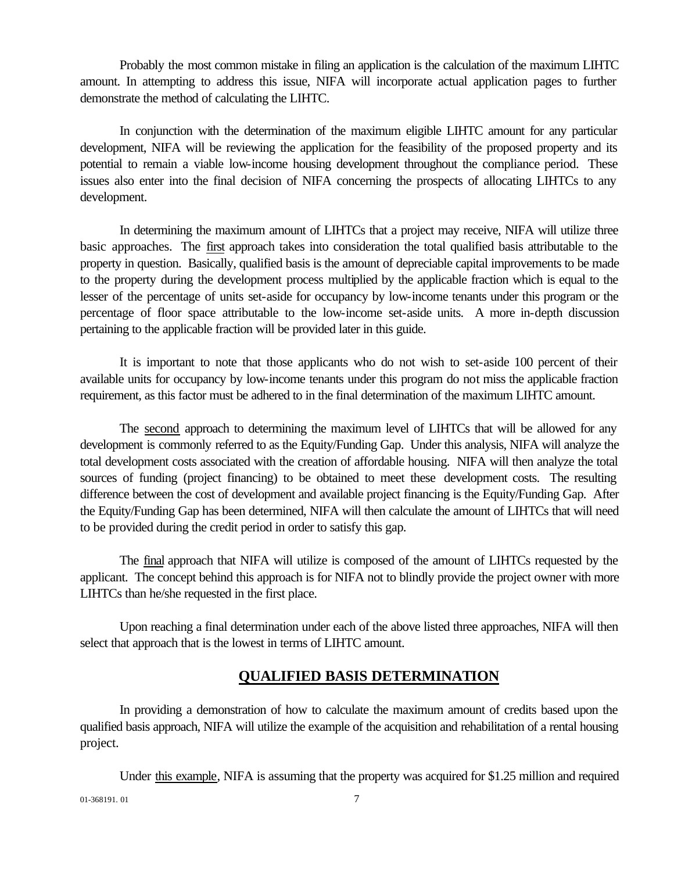Probably the most common mistake in filing an application is the calculation of the maximum LIHTC amount. In attempting to address this issue, NIFA will incorporate actual application pages to further demonstrate the method of calculating the LIHTC.

In conjunction with the determination of the maximum eligible LIHTC amount for any particular development, NIFA will be reviewing the application for the feasibility of the proposed property and its potential to remain a viable low-income housing development throughout the compliance period. These issues also enter into the final decision of NIFA concerning the prospects of allocating LIHTCs to any development.

In determining the maximum amount of LIHTCs that a project may receive, NIFA will utilize three basic approaches. The first approach takes into consideration the total qualified basis attributable to the property in question. Basically, qualified basis is the amount of depreciable capital improvements to be made to the property during the development process multiplied by the applicable fraction which is equal to the lesser of the percentage of units set-aside for occupancy by low-income tenants under this program or the percentage of floor space attributable to the low-income set-aside units. A more in-depth discussion pertaining to the applicable fraction will be provided later in this guide.

It is important to note that those applicants who do not wish to set-aside 100 percent of their available units for occupancy by low-income tenants under this program do not miss the applicable fraction requirement, as this factor must be adhered to in the final determination of the maximum LIHTC amount.

The second approach to determining the maximum level of LIHTCs that will be allowed for any development is commonly referred to as the Equity/Funding Gap. Under this analysis, NIFA will analyze the total development costs associated with the creation of affordable housing. NIFA will then analyze the total sources of funding (project financing) to be obtained to meet these development costs. The resulting difference between the cost of development and available project financing is the Equity/Funding Gap. After the Equity/Funding Gap has been determined, NIFA will then calculate the amount of LIHTCs that will need to be provided during the credit period in order to satisfy this gap.

The final approach that NIFA will utilize is composed of the amount of LIHTCs requested by the applicant. The concept behind this approach is for NIFA not to blindly provide the project owner with more LIHTCs than he/she requested in the first place.

Upon reaching a final determination under each of the above listed three approaches, NIFA will then select that approach that is the lowest in terms of LIHTC amount.

### **QUALIFIED BASIS DETERMINATION**

In providing a demonstration of how to calculate the maximum amount of credits based upon the qualified basis approach, NIFA will utilize the example of the acquisition and rehabilitation of a rental housing project.

Under this example, NIFA is assuming that the property was acquired for \$1.25 million and required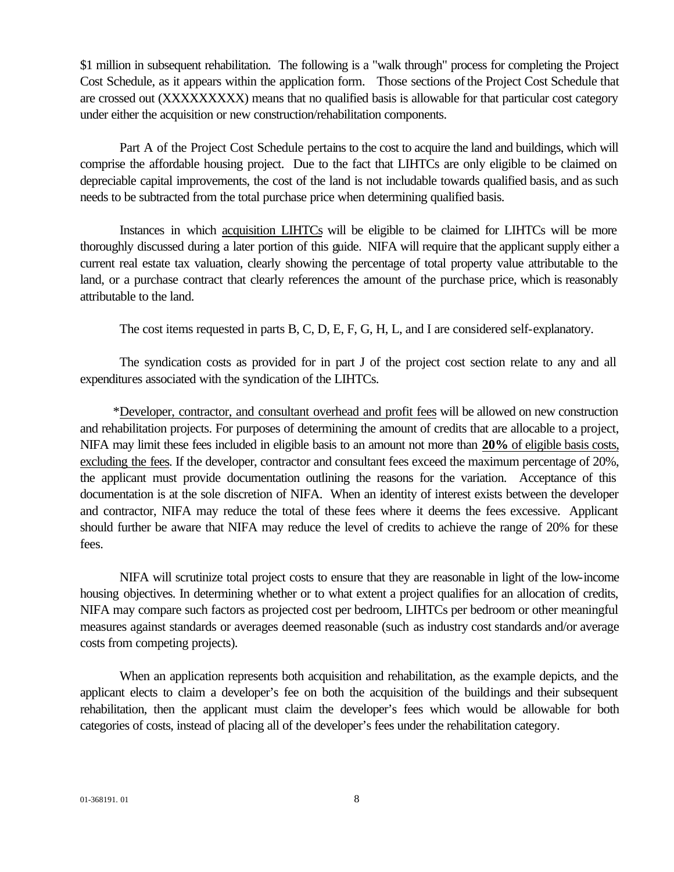\$1 million in subsequent rehabilitation. The following is a "walk through" process for completing the Project Cost Schedule, as it appears within the application form. Those sections of the Project Cost Schedule that are crossed out (XXXXXXXXX) means that no qualified basis is allowable for that particular cost category under either the acquisition or new construction/rehabilitation components.

Part A of the Project Cost Schedule pertains to the cost to acquire the land and buildings, which will comprise the affordable housing project. Due to the fact that LIHTCs are only eligible to be claimed on depreciable capital improvements, the cost of the land is not includable towards qualified basis, and as such needs to be subtracted from the total purchase price when determining qualified basis.

Instances in which acquisition LIHTCs will be eligible to be claimed for LIHTCs will be more thoroughly discussed during a later portion of this guide. NIFA will require that the applicant supply either a current real estate tax valuation, clearly showing the percentage of total property value attributable to the land, or a purchase contract that clearly references the amount of the purchase price, which is reasonably attributable to the land.

The cost items requested in parts B, C, D, E, F, G, H, L, and I are considered self-explanatory.

The syndication costs as provided for in part J of the project cost section relate to any and all expenditures associated with the syndication of the LIHTCs.

 \*Developer, contractor, and consultant overhead and profit fees will be allowed on new construction and rehabilitation projects. For purposes of determining the amount of credits that are allocable to a project, NIFA may limit these fees included in eligible basis to an amount not more than **20%** of eligible basis costs, excluding the fees. If the developer, contractor and consultant fees exceed the maximum percentage of 20%, the applicant must provide documentation outlining the reasons for the variation. Acceptance of this documentation is at the sole discretion of NIFA. When an identity of interest exists between the developer and contractor, NIFA may reduce the total of these fees where it deems the fees excessive. Applicant should further be aware that NIFA may reduce the level of credits to achieve the range of 20% for these fees.

NIFA will scrutinize total project costs to ensure that they are reasonable in light of the low-income housing objectives. In determining whether or to what extent a project qualifies for an allocation of credits, NIFA may compare such factors as projected cost per bedroom, LIHTCs per bedroom or other meaningful measures against standards or averages deemed reasonable (such as industry cost standards and/or average costs from competing projects).

When an application represents both acquisition and rehabilitation, as the example depicts, and the applicant elects to claim a developer's fee on both the acquisition of the buildings and their subsequent rehabilitation, then the applicant must claim the developer's fees which would be allowable for both categories of costs, instead of placing all of the developer's fees under the rehabilitation category.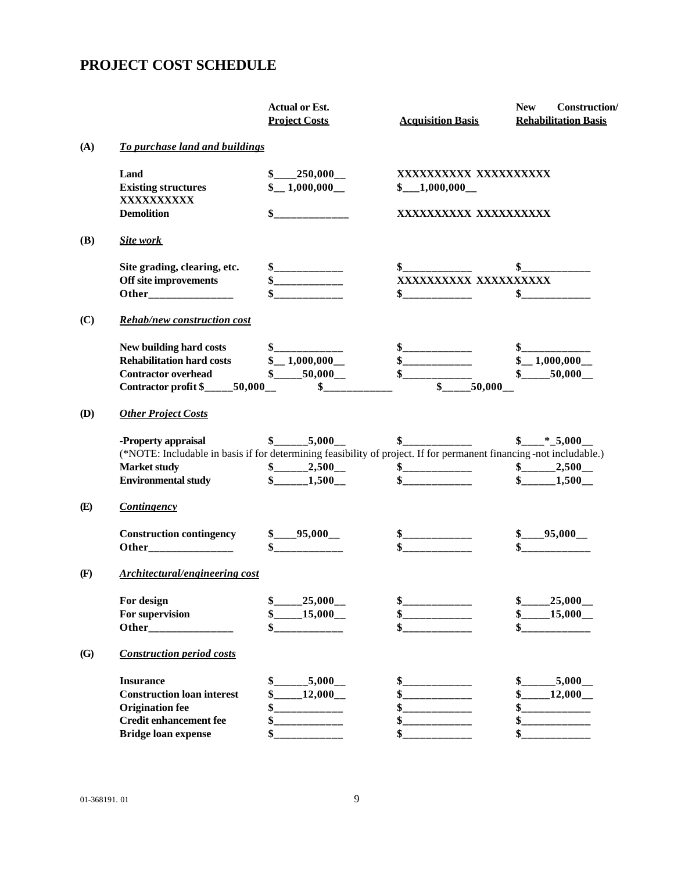# **PROJECT COST SCHEDULE**

|            |                                                                                                                     | <b>Actual or Est.</b><br><b>Project Costs</b> | <b>Acquisition Basis</b>                                            | <b>New</b><br><b>Construction</b> /<br><b>Rehabilitation Basis</b> |
|------------|---------------------------------------------------------------------------------------------------------------------|-----------------------------------------------|---------------------------------------------------------------------|--------------------------------------------------------------------|
| (A)        | To purchase land and buildings                                                                                      |                                               |                                                                     |                                                                    |
|            | Land                                                                                                                | $\frac{\$$ 250,000                            | XXXXXXXXXX XXXXXXXXXX                                               |                                                                    |
|            | <b>Existing structures</b><br>XXXXXXXXXX                                                                            | $\frac{1,000,000}{\ldots}$                    | $\scriptstyle{\textstyle\oint_{\text{max}}}=1,000,000\_\text{max}}$ |                                                                    |
|            | <b>Demolition</b>                                                                                                   |                                               | XXXXXXXXXX XXXXXXXXXX                                               |                                                                    |
| <b>(B)</b> | <b>Site work</b>                                                                                                    |                                               |                                                                     |                                                                    |
|            | Site grading, clearing, etc.                                                                                        | \$_____________                               |                                                                     |                                                                    |
|            | Off site improvements                                                                                               | $S$ ______________                            | XXXXXXXXXX XXXXXXXXXX                                               |                                                                    |
|            |                                                                                                                     |                                               | $\frac{\cdot \cdot \cdot}{\cdot \cdot \cdot \cdot \cdot}$           | $\frac{1}{2}$                                                      |
| (C)        | <b>Rehab/new construction cost</b>                                                                                  |                                               |                                                                     |                                                                    |
|            | New building hard costs                                                                                             |                                               |                                                                     |                                                                    |
|            | <b>Rehabilitation hard costs</b>                                                                                    | $\frac{1,000,000}{\ldots}$                    | \$                                                                  | $\frac{1,000,000}{\ldots}$                                         |
|            | <b>Contractor overhead</b>                                                                                          | $\frac{1}{2}$ 50,000                          |                                                                     | $$$ 50,000                                                         |
|            | Contractor profit $\frac{1}{2}$ 50,000                                                                              | $\frac{1}{2}$                                 | $$-.50,000$                                                         |                                                                    |
| <b>(D)</b> | <b>Other Project Costs</b>                                                                                          |                                               |                                                                     |                                                                    |
|            | -Property appraisal                                                                                                 | $\frac{1}{2}$ 5,000                           |                                                                     | $\frac{\$$ <sub>_____</sub> *_5,000__                              |
|            | (*NOTE: Includable in basis if for determining feasibility of project. If for permanent financing -not includable.) |                                               |                                                                     |                                                                    |
|            | <b>Market study</b>                                                                                                 | $\frac{1}{2}$ $\frac{2,500}{2}$               |                                                                     | $\frac{\text{S}_{\text{2}}}{\text{S}_{\text{2}}}-2,500$            |
|            | <b>Environmental study</b>                                                                                          | $$$ 1,500                                     | $\sim$                                                              | $$-.1,500$                                                         |
| (E)        | <b>Contingency</b>                                                                                                  |                                               |                                                                     |                                                                    |
|            | <b>Construction contingency</b>                                                                                     | $\frac{\$$ 95,000                             |                                                                     | $\frac{\$$ 95,000                                                  |
|            | Other_________________                                                                                              |                                               |                                                                     |                                                                    |
| (F)        | <b>Architectural/engineering cost</b>                                                                               |                                               |                                                                     |                                                                    |
|            | For design                                                                                                          | \$<br>$25,000$ <sub>--</sub>                  | \$                                                                  | \$<br>$25,000$ <sub>--</sub>                                       |
|            | For supervision                                                                                                     | $15,000$ <sub>--</sub>                        | \$                                                                  | $15,000$ <sub>--</sub><br>\$                                       |
|            | Other_                                                                                                              | \$                                            | \$                                                                  | \$                                                                 |
| (G)        | <b>Construction period costs</b>                                                                                    |                                               |                                                                     |                                                                    |
|            | <b>Insurance</b>                                                                                                    | $_{.5,000}$ <sub>--</sub>                     | \$                                                                  | $.5,000$ __                                                        |
|            | <b>Construction loan interest</b>                                                                                   | $12,000$ <sub>--</sub>                        | \$                                                                  | 12,000                                                             |
|            | <b>Origination fee</b>                                                                                              |                                               | \$                                                                  | \$                                                                 |
|            | <b>Credit enhancement fee</b>                                                                                       |                                               | \$                                                                  | \$                                                                 |
|            | <b>Bridge loan expense</b>                                                                                          |                                               | \$                                                                  |                                                                    |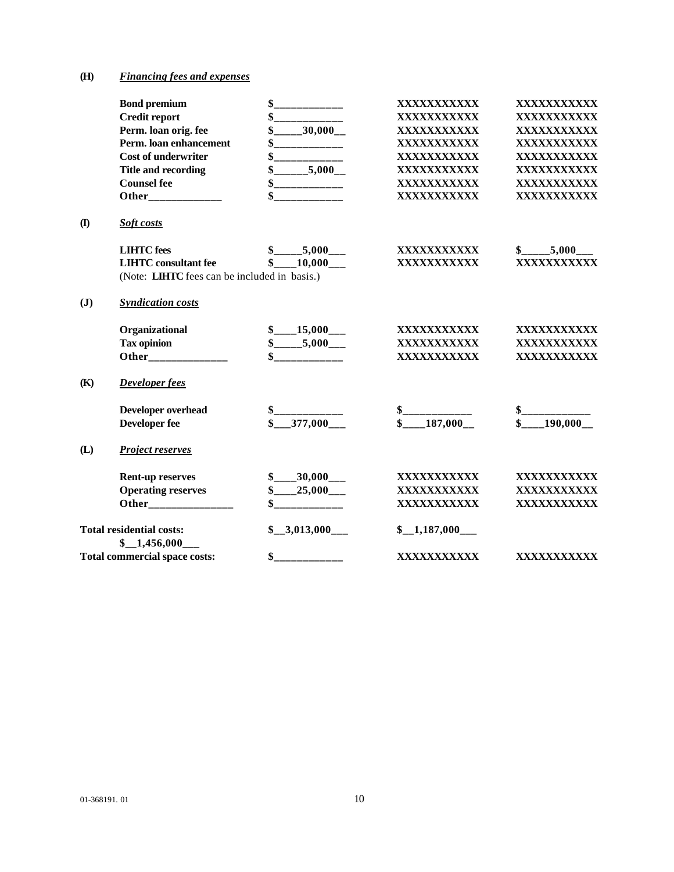### **(H)** *Financing fees and expenses*

|                | <b>Bond premium</b>                                             | \$<br>__________                                                                                     | XXXXXXXXXXX                  | XXXXXXXXXXX                         |
|----------------|-----------------------------------------------------------------|------------------------------------------------------------------------------------------------------|------------------------------|-------------------------------------|
|                | <b>Credit report</b>                                            |                                                                                                      | XXXXXXXXXXX                  | XXXXXXXXXXX                         |
|                | Perm. loan orig. fee                                            | $\frac{1}{2}$ 30,000                                                                                 | XXXXXXXXXXX                  | XXXXXXXXXXX                         |
|                | Perm. loan enhancement                                          | ____________                                                                                         | XXXXXXXXXXX                  | XXXXXXXXXXX                         |
|                | <b>Cost of underwriter</b>                                      |                                                                                                      | XXXXXXXXXXX                  | XXXXXXXXXXX                         |
|                | <b>Title and recording</b>                                      | \$5,000                                                                                              | XXXXXXXXXXX                  | XXXXXXXXXXX                         |
|                | <b>Counsel fee</b>                                              | $\frac{1}{2}$                                                                                        | XXXXXXXXXXX                  | XXXXXXXXXXX                         |
|                | Other______________                                             |                                                                                                      | XXXXXXXXXXX                  | XXXXXXXXXXX                         |
| $\mathbf{I}$   | Soft costs                                                      |                                                                                                      |                              |                                     |
|                | <b>LIHTC</b> fees                                               | $\frac{\$$ <sub>_____</sub> 5,000 <sub>___</sub>                                                     | XXXXXXXXXXX                  | $\frac{\text{L}}{\text{L}} = 5,000$ |
|                | <b>LIHTC</b> consultant fee                                     | $\frac{10,000}{\frac{1}{2}}$                                                                         | XXXXXXXXXXX                  | XXXXXXXXXXX                         |
|                | (Note: LIHTC fees can be included in basis.)                    |                                                                                                      |                              |                                     |
| $(\mathbf{J})$ | <b>Syndication costs</b>                                        |                                                                                                      |                              |                                     |
|                | Organizational                                                  | $\frac{15,000}{1}$                                                                                   | XXXXXXXXXXX                  | XXXXXXXXXXX                         |
|                | <b>Tax opinion</b>                                              | $\frac{\text{S}_{\text{2}}}{\text{S}_{\text{2}}}-\frac{5,000}{\text{S}_{\text{2}}}-\frac{1}{2}$      | XXXXXXXXXXX                  | XXXXXXXXXXX                         |
|                | Other_______________                                            | $s$ ______________                                                                                   | XXXXXXXXXXX                  | XXXXXXXXXXX                         |
| (K)            | Developer fees                                                  |                                                                                                      |                              |                                     |
|                | Developer overhead                                              | $\displaystyle \textcolor{red}{\textbf{\$}}\textcolor{red}{\textbf{\$}}\textcolor{red}{\textbf{\_}}$ | $S$ _____________            | $\frac{\ }{\ }$ $\frac{1}{\ }$      |
|                | <b>Developer fee</b>                                            | $$-.377,000$                                                                                         | $\frac{187,000}{2}$          | $\frac{190,000}{2}$                 |
| (L)            | <b>Project reserves</b>                                         |                                                                                                      |                              |                                     |
|                | <b>Rent-up reserves</b>                                         | $\frac{1}{2}$ 30,000                                                                                 | XXXXXXXXXXX                  | XXXXXXXXXXX                         |
|                | <b>Operating reserves</b>                                       | $\frac{\text{L}}{\text{L}} = 25,000$                                                                 | XXXXXXXXXXX                  | XXXXXXXXXXX                         |
|                |                                                                 | $s$ _____________                                                                                    | XXXXXXXXXXX                  | XXXXXXXXXXX                         |
|                | <b>Total residential costs:</b><br>$$-1,456,000$ <sub>---</sub> | $\frac{$0.3,013,000}{1}$                                                                             | $$-1,187,000$ <sub>---</sub> |                                     |
|                | <b>Total commercial space costs:</b>                            | \$                                                                                                   | XXXXXXXXXXX                  | XXXXXXXXXXX                         |
|                |                                                                 |                                                                                                      |                              |                                     |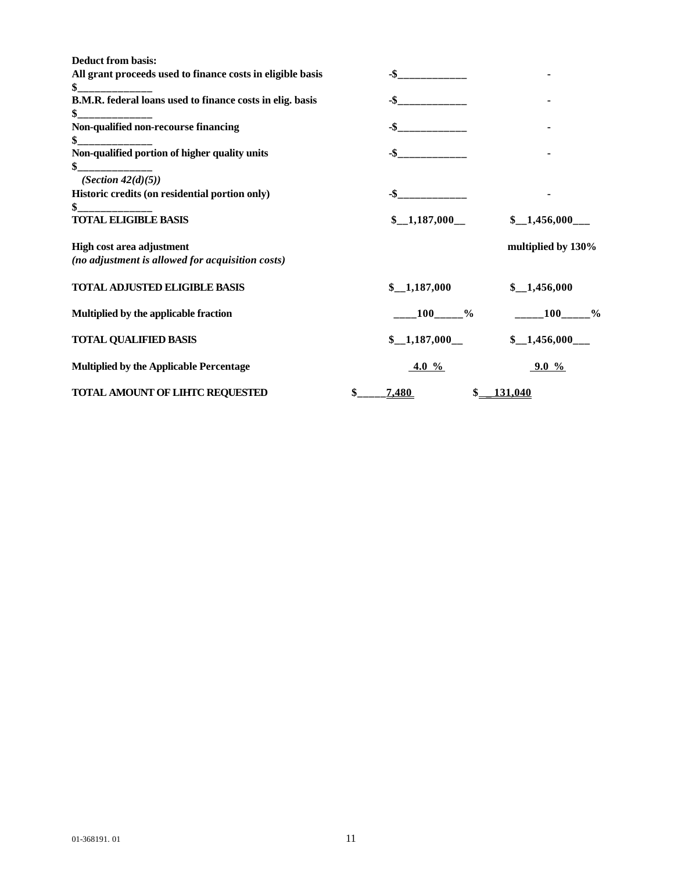| <b>Deduct from basis:</b>                                  |                                    |                      |
|------------------------------------------------------------|------------------------------------|----------------------|
| All grant proceeds used to finance costs in eligible basis |                                    |                      |
| \$                                                         |                                    |                      |
| B.M.R. federal loans used to finance costs in elig. basis  | $-$ \$                             |                      |
| \$                                                         |                                    |                      |
| Non-qualified non-recourse financing                       |                                    |                      |
| $\frac{1}{2}$                                              |                                    |                      |
| Non-qualified portion of higher quality units<br>\$        | $-$ \$                             |                      |
| (Section $42(d)(5)$ )                                      |                                    |                      |
| Historic credits (on residential portion only)             | -\$                                |                      |
| \$                                                         |                                    |                      |
| <b>TOTAL ELIGIBLE BASIS</b>                                | $\scriptstyle\pm 1,187,000\_\perp$ | \$1,456,000          |
| High cost area adjustment                                  |                                    | multiplied by 130%   |
| (no adjustment is allowed for acquisition costs)           |                                    |                      |
| <b>TOTAL ADJUSTED ELIGIBLE BASIS</b>                       | $\scriptstyle\rm I,187,000$        | $\frac{1,456,000}{$  |
| Multiplied by the applicable fraction                      | $100 \t%$                          | 100<br>$\frac{0}{0}$ |
| <b>TOTAL QUALIFIED BASIS</b>                               | \$1,187,000                        | \$1,456,000          |
| <b>Multiplied by the Applicable Percentage</b>             | 4.0 $\%$                           | 9.0 $\%$             |
| TOTAL AMOUNT OF LIHTC REQUESTED                            | \$<br>7,480                        | $$$ 131.040          |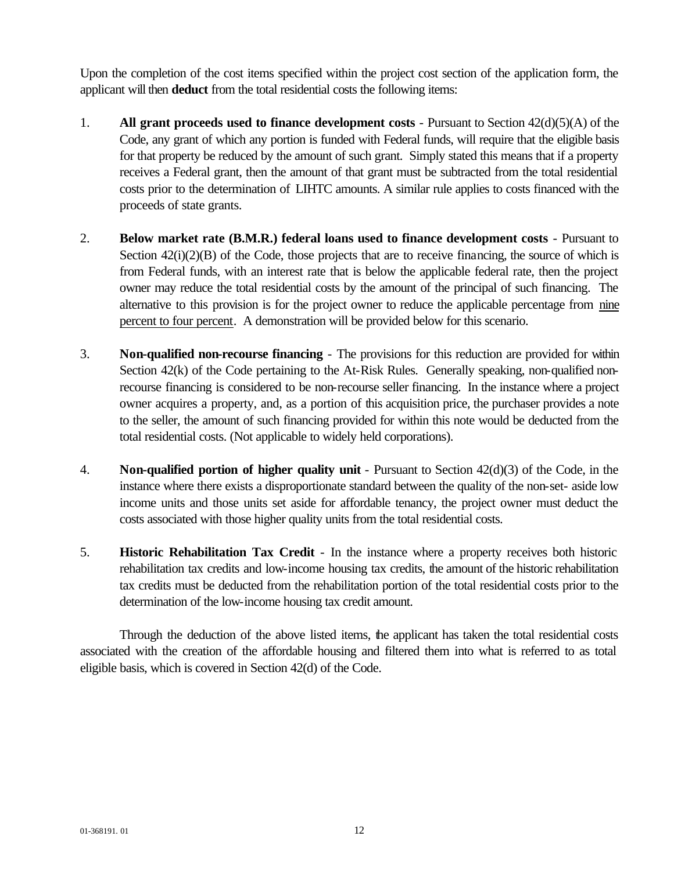Upon the completion of the cost items specified within the project cost section of the application form, the applicant will then **deduct** from the total residential costs the following items:

- 1. **All grant proceeds used to finance development costs** Pursuant to Section 42(d)(5)(A) of the Code, any grant of which any portion is funded with Federal funds, will require that the eligible basis for that property be reduced by the amount of such grant. Simply stated this means that if a property receives a Federal grant, then the amount of that grant must be subtracted from the total residential costs prior to the determination of LIHTC amounts. A similar rule applies to costs financed with the proceeds of state grants.
- 2. **Below market rate (B.M.R.) federal loans used to finance development costs** Pursuant to Section  $42(i)(2)(B)$  of the Code, those projects that are to receive financing, the source of which is from Federal funds, with an interest rate that is below the applicable federal rate, then the project owner may reduce the total residential costs by the amount of the principal of such financing. The alternative to this provision is for the project owner to reduce the applicable percentage from nine percent to four percent. A demonstration will be provided below for this scenario.
- 3. **Non-qualified non-recourse financing** The provisions for this reduction are provided for within Section 42(k) of the Code pertaining to the At-Risk Rules. Generally speaking, non-qualified nonrecourse financing is considered to be non-recourse seller financing. In the instance where a project owner acquires a property, and, as a portion of this acquisition price, the purchaser provides a note to the seller, the amount of such financing provided for within this note would be deducted from the total residential costs. (Not applicable to widely held corporations).
- 4. **Non-qualified portion of higher quality unit** Pursuant to Section 42(d)(3) of the Code, in the instance where there exists a disproportionate standard between the quality of the non-set- aside low income units and those units set aside for affordable tenancy, the project owner must deduct the costs associated with those higher quality units from the total residential costs.
- 5. **Historic Rehabilitation Tax Credit** In the instance where a property receives both historic rehabilitation tax credits and low-income housing tax credits, the amount of the historic rehabilitation tax credits must be deducted from the rehabilitation portion of the total residential costs prior to the determination of the low-income housing tax credit amount.

Through the deduction of the above listed items, the applicant has taken the total residential costs associated with the creation of the affordable housing and filtered them into what is referred to as total eligible basis, which is covered in Section 42(d) of the Code.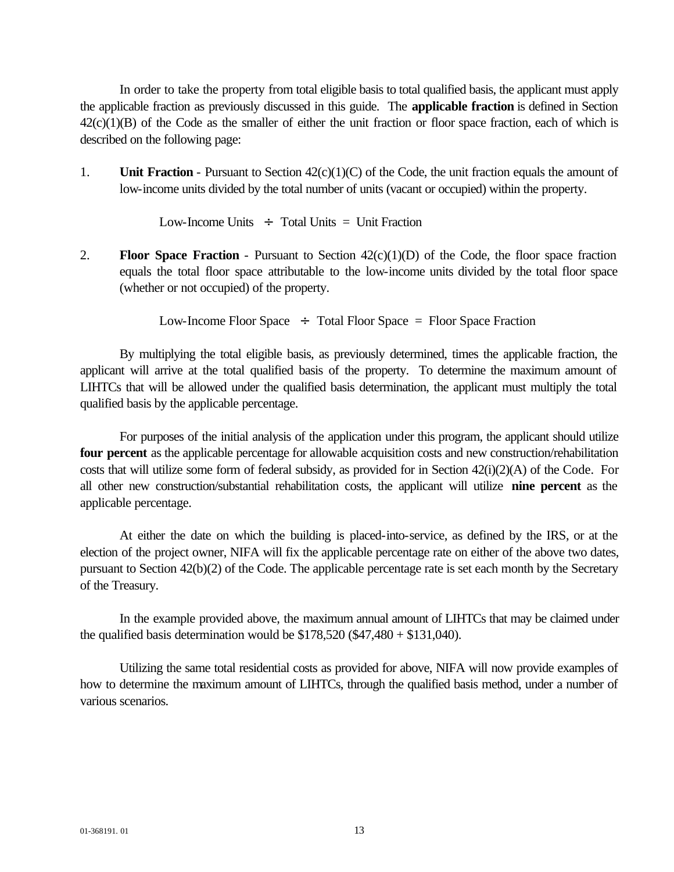In order to take the property from total eligible basis to total qualified basis, the applicant must apply the applicable fraction as previously discussed in this guide. The **applicable fraction** is defined in Section  $42(c)(1)(B)$  of the Code as the smaller of either the unit fraction or floor space fraction, each of which is described on the following page:

1. **Unit Fraction** - Pursuant to Section 42(c)(1)(C) of the Code, the unit fraction equals the amount of low-income units divided by the total number of units (vacant or occupied) within the property.

Low-Income Units  $\div$  Total Units = Unit Fraction

2. **Floor Space Fraction** - Pursuant to Section 42(c)(1)(D) of the Code, the floor space fraction equals the total floor space attributable to the low-income units divided by the total floor space (whether or not occupied) of the property.

Low-Income Floor Space  $\div$  Total Floor Space = Floor Space Fraction

By multiplying the total eligible basis, as previously determined, times the applicable fraction, the applicant will arrive at the total qualified basis of the property. To determine the maximum amount of LIHTCs that will be allowed under the qualified basis determination, the applicant must multiply the total qualified basis by the applicable percentage.

For purposes of the initial analysis of the application under this program, the applicant should utilize **four percent** as the applicable percentage for allowable acquisition costs and new construction/rehabilitation costs that will utilize some form of federal subsidy, as provided for in Section  $42(i)(2)(A)$  of the Code. For all other new construction/substantial rehabilitation costs, the applicant will utilize **nine percent** as the applicable percentage.

At either the date on which the building is placed-into-service, as defined by the IRS, or at the election of the project owner, NIFA will fix the applicable percentage rate on either of the above two dates, pursuant to Section 42(b)(2) of the Code. The applicable percentage rate is set each month by the Secretary of the Treasury.

In the example provided above, the maximum annual amount of LIHTCs that may be claimed under the qualified basis determination would be  $$178,520 ($47,480 + $131,040)$ .

Utilizing the same total residential costs as provided for above, NIFA will now provide examples of how to determine the maximum amount of LIHTCs, through the qualified basis method, under a number of various scenarios.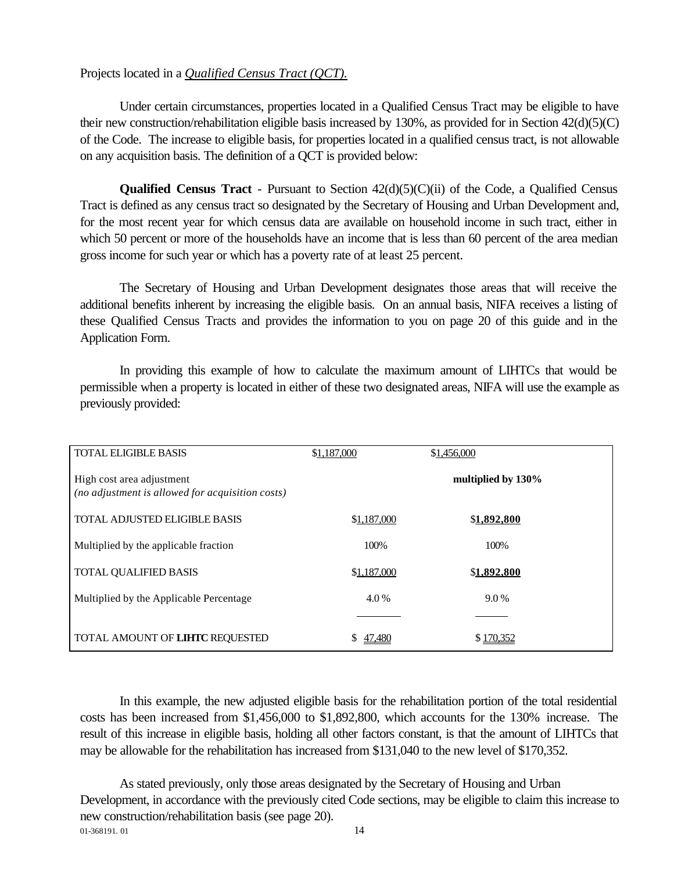### Projects located in a *Qualified Census Tract (QCT).*

Under certain circumstances, properties located in a Qualified Census Tract may be eligible to have their new construction/rehabilitation eligible basis increased by 130%, as provided for in Section 42(d)(5)(C) of the Code. The increase to eligible basis, for properties located in a qualified census tract, is not allowable on any acquisition basis. The definition of a QCT is provided below:

**Qualified Census Tract** - Pursuant to Section  $42(d)(5)(C)(ii)$  of the Code, a Qualified Census Tract is defined as any census tract so designated by the Secretary of Housing and Urban Development and, for the most recent year for which census data are available on household income in such tract, either in which 50 percent or more of the households have an income that is less than 60 percent of the area median gross income for such year or which has a poverty rate of at least 25 percent.

The Secretary of Housing and Urban Development designates those areas that will receive the additional benefits inherent by increasing the eligible basis. On an annual basis, NIFA receives a listing of these Qualified Census Tracts and provides the information to you on page 20 of this guide and in the Application Form.

In providing this example of how to calculate the maximum amount of LIHTCs that would be permissible when a property is located in either of these two designated areas, NIFA will use the example as previously provided:

| <b>TOTAL ELIGIBLE BASIS</b>                                                   | \$1,187,000  | \$1,456,000        |
|-------------------------------------------------------------------------------|--------------|--------------------|
| High cost area adjustment<br>(no adjustment is allowed for acquisition costs) |              | multiplied by 130% |
| <b>TOTAL ADJUSTED ELIGIBLE BASIS</b>                                          | \$1,187,000  | \$1,892,800        |
| Multiplied by the applicable fraction                                         | 100%         | 100%               |
| <b>TOTAL QUALIFIED BASIS</b>                                                  | \$1,187,000  | \$1,892,800        |
| Multiplied by the Applicable Percentage                                       | 4.0%         | $9.0\%$            |
|                                                                               |              |                    |
| TOTAL AMOUNT OF LIHTC REQUESTED                                               | 47.480<br>S. | \$170.352          |

In this example, the new adjusted eligible basis for the rehabilitation portion of the total residential costs has been increased from \$1,456,000 to \$1,892,800, which accounts for the 130% increase. The result of this increase in eligible basis, holding all other factors constant, is that the amount of LIHTCs that may be allowable for the rehabilitation has increased from \$131,040 to the new level of \$170,352.

01-368191. 01 14 As stated previously, only those areas designated by the Secretary of Housing and Urban Development, in accordance with the previously cited Code sections, may be eligible to claim this increase to new construction/rehabilitation basis (see page 20).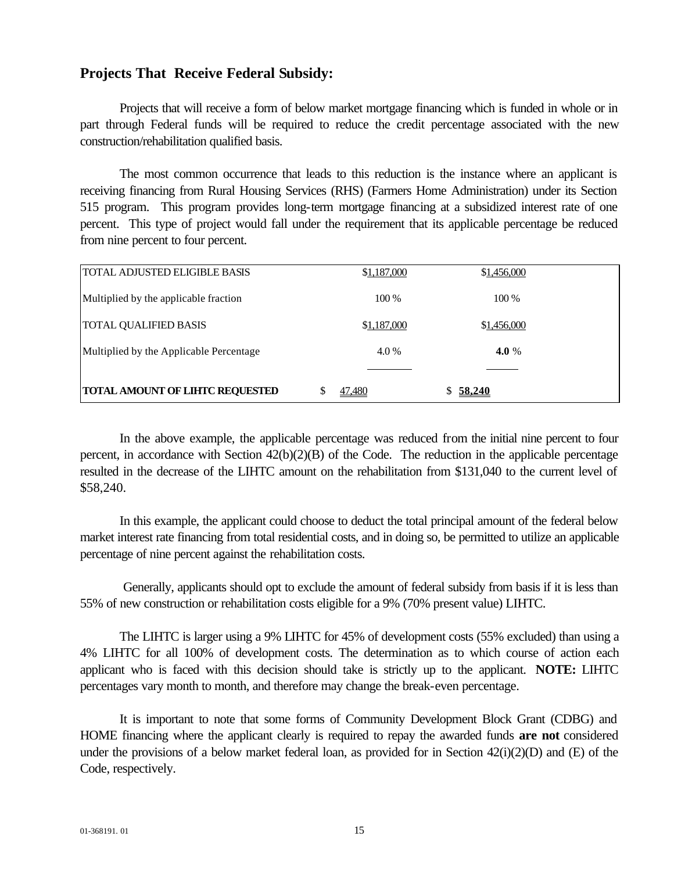### **Projects That Receive Federal Subsidy:**

Projects that will receive a form of below market mortgage financing which is funded in whole or in part through Federal funds will be required to reduce the credit percentage associated with the new construction/rehabilitation qualified basis.

The most common occurrence that leads to this reduction is the instance where an applicant is receiving financing from Rural Housing Services (RHS) (Farmers Home Administration) under its Section 515 program. This program provides long-term mortgage financing at a subsidized interest rate of one percent. This type of project would fall under the requirement that its applicable percentage be reduced from nine percent to four percent.

| <b>TOTAL ADJUSTED ELIGIBLE BASIS</b>    | \$1,187,000 | \$1,456,000 |
|-----------------------------------------|-------------|-------------|
| Multiplied by the applicable fraction   | $100\%$     | 100 %       |
| <b>TOTAL QUALIFIED BASIS</b>            | \$1,187,000 | \$1,456,000 |
| Multiplied by the Applicable Percentage | $4.0\%$     | 4.0 %       |
|                                         |             |             |
| <b>TOTAL AMOUNT OF LIHTC REQUESTED</b>  | 47.480      | \$58,240    |

In the above example, the applicable percentage was reduced from the initial nine percent to four percent, in accordance with Section 42(b)(2)(B) of the Code. The reduction in the applicable percentage resulted in the decrease of the LIHTC amount on the rehabilitation from \$131,040 to the current level of \$58,240.

In this example, the applicant could choose to deduct the total principal amount of the federal below market interest rate financing from total residential costs, and in doing so, be permitted to utilize an applicable percentage of nine percent against the rehabilitation costs.

 Generally, applicants should opt to exclude the amount of federal subsidy from basis if it is less than 55% of new construction or rehabilitation costs eligible for a 9% (70% present value) LIHTC.

The LIHTC is larger using a 9% LIHTC for 45% of development costs (55% excluded) than using a 4% LIHTC for all 100% of development costs. The determination as to which course of action each applicant who is faced with this decision should take is strictly up to the applicant. **NOTE:** LIHTC percentages vary month to month, and therefore may change the break-even percentage.

It is important to note that some forms of Community Development Block Grant (CDBG) and HOME financing where the applicant clearly is required to repay the awarded funds **are not** considered under the provisions of a below market federal loan, as provided for in Section  $42(i)(2)(D)$  and (E) of the Code, respectively.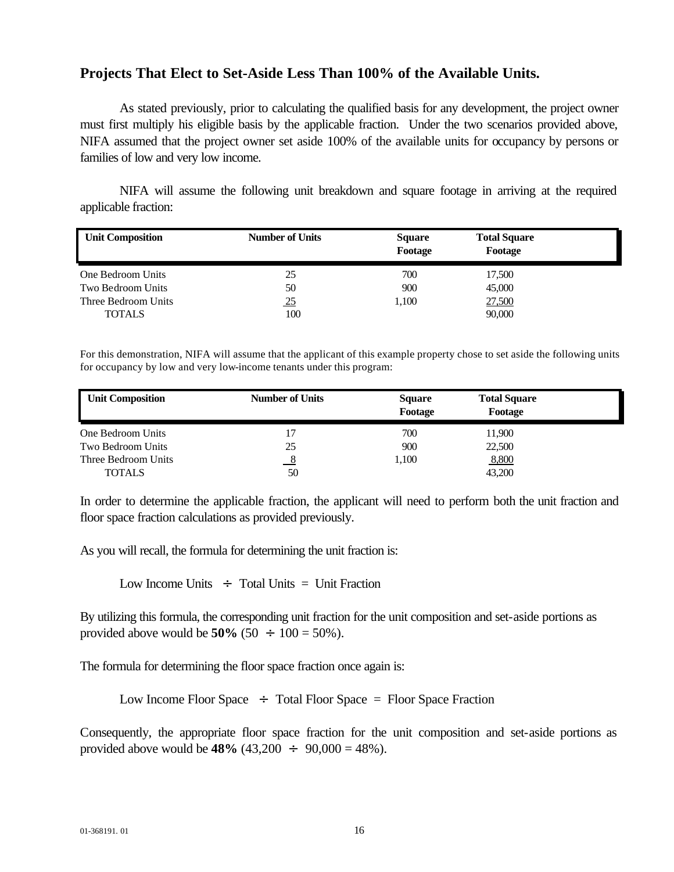### **Projects That Elect to Set-Aside Less Than 100% of the Available Units.**

As stated previously, prior to calculating the qualified basis for any development, the project owner must first multiply his eligible basis by the applicable fraction. Under the two scenarios provided above, NIFA assumed that the project owner set aside 100% of the available units for occupancy by persons or families of low and very low income.

NIFA will assume the following unit breakdown and square footage in arriving at the required applicable fraction:

| <b>Unit Composition</b> | <b>Number of Units</b> | <b>Square</b><br>Footage | <b>Total Square</b><br>Footage |  |
|-------------------------|------------------------|--------------------------|--------------------------------|--|
| One Bedroom Units       | 25                     | 700                      | 17,500                         |  |
| Two Bedroom Units       | 50                     | 900                      | 45,000                         |  |
| Three Bedroom Units     | <u>25</u>              | 1.100                    | 27,500                         |  |
| <b>TOTALS</b>           | 100                    |                          | 90,000                         |  |

For this demonstration, NIFA will assume that the applicant of this example property chose to set aside the following units for occupancy by low and very low-income tenants under this program:

| <b>Unit Composition</b> | <b>Number of Units</b> | <b>Square</b><br>Footage | <b>Total Square</b><br>Footage |  |
|-------------------------|------------------------|--------------------------|--------------------------------|--|
| One Bedroom Units       |                        | 700                      | 11,900                         |  |
| Two Bedroom Units       | 25                     | 900                      | 22,500                         |  |
| Three Bedroom Units     | 8                      | 1,100                    | 8,800                          |  |
| <b>TOTALS</b>           | 50                     |                          | 43,200                         |  |

In order to determine the applicable fraction, the applicant will need to perform both the unit fraction and floor space fraction calculations as provided previously.

As you will recall, the formula for determining the unit fraction is:

Low Income Units  $\div$  Total Units = Unit Fraction

By utilizing this formula, the corresponding unit fraction for the unit composition and set-aside portions as provided above would be **50%** (50  $\div$  100 = 50%).

The formula for determining the floor space fraction once again is:

Low Income Floor Space  $\div$  Total Floor Space = Floor Space Fraction

Consequently, the appropriate floor space fraction for the unit composition and set-aside portions as provided above would be  $48\%$  (43,200  $\div$  90,000 = 48%).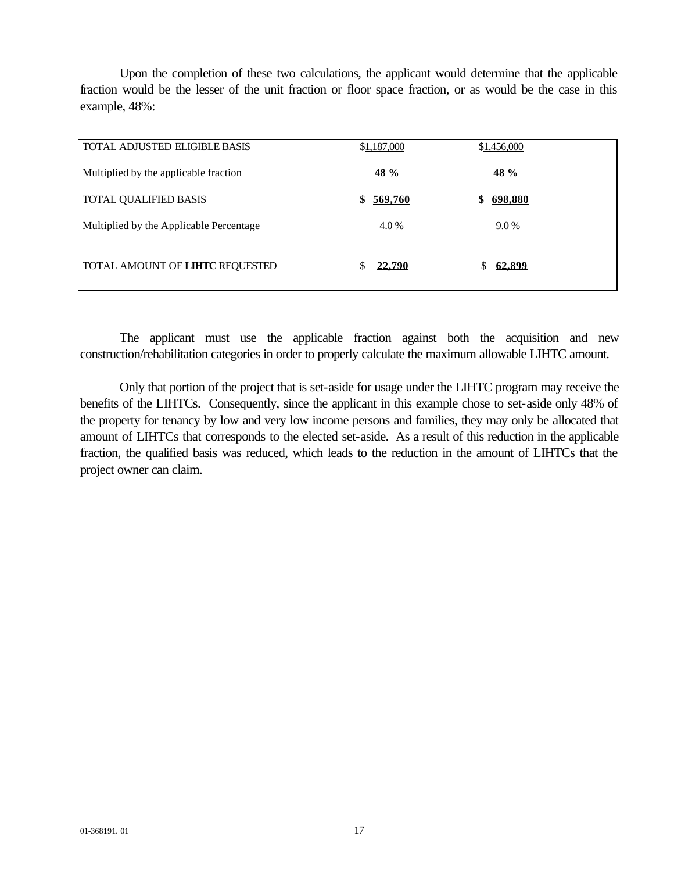Upon the completion of these two calculations, the applicant would determine that the applicable fraction would be the lesser of the unit fraction or floor space fraction, or as would be the case in this example, 48%:

| <b>TOTAL ADJUSTED ELIGIBLE BASIS</b>    | \$1,187,000        | \$1,456,000        |
|-----------------------------------------|--------------------|--------------------|
| Multiplied by the applicable fraction   | 48 %               | 48 %               |
| <b>TOTAL QUALIFIED BASIS</b>            | 569,760<br>\$      | 698,880            |
| Multiplied by the Applicable Percentage | 4.0 %              | 9.0%               |
|                                         |                    |                    |
| TOTAL AMOUNT OF LIHTC REQUESTED         | <u>22,790</u><br>S | <u>62,899</u><br>S |

The applicant must use the applicable fraction against both the acquisition and new construction/rehabilitation categories in order to properly calculate the maximum allowable LIHTC amount.

Only that portion of the project that is set-aside for usage under the LIHTC program may receive the benefits of the LIHTCs. Consequently, since the applicant in this example chose to set-aside only 48% of the property for tenancy by low and very low income persons and families, they may only be allocated that amount of LIHTCs that corresponds to the elected set-aside. As a result of this reduction in the applicable fraction, the qualified basis was reduced, which leads to the reduction in the amount of LIHTCs that the project owner can claim.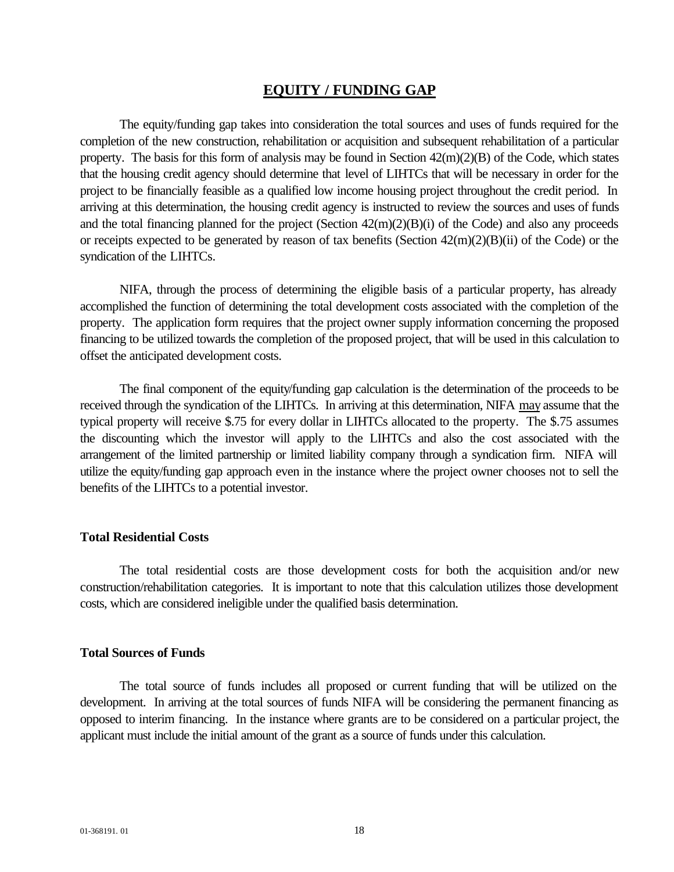### **EQUITY / FUNDING GAP**

The equity/funding gap takes into consideration the total sources and uses of funds required for the completion of the new construction, rehabilitation or acquisition and subsequent rehabilitation of a particular property. The basis for this form of analysis may be found in Section 42(m)(2)(B) of the Code, which states that the housing credit agency should determine that level of LIHTCs that will be necessary in order for the project to be financially feasible as a qualified low income housing project throughout the credit period. In arriving at this determination, the housing credit agency is instructed to review the sources and uses of funds and the total financing planned for the project (Section 42(m)(2)(B)(i) of the Code) and also any proceeds or receipts expected to be generated by reason of tax benefits (Section 42(m)(2)(B)(ii) of the Code) or the syndication of the LIHTCs.

NIFA, through the process of determining the eligible basis of a particular property, has already accomplished the function of determining the total development costs associated with the completion of the property. The application form requires that the project owner supply information concerning the proposed financing to be utilized towards the completion of the proposed project, that will be used in this calculation to offset the anticipated development costs.

The final component of the equity/funding gap calculation is the determination of the proceeds to be received through the syndication of the LIHTCs. In arriving at this determination, NIFA may assume that the typical property will receive \$.75 for every dollar in LIHTCs allocated to the property. The \$.75 assumes the discounting which the investor will apply to the LIHTCs and also the cost associated with the arrangement of the limited partnership or limited liability company through a syndication firm. NIFA will utilize the equity/funding gap approach even in the instance where the project owner chooses not to sell the benefits of the LIHTCs to a potential investor.

#### **Total Residential Costs**

The total residential costs are those development costs for both the acquisition and/or new construction/rehabilitation categories. It is important to note that this calculation utilizes those development costs, which are considered ineligible under the qualified basis determination.

### **Total Sources of Funds**

The total source of funds includes all proposed or current funding that will be utilized on the development. In arriving at the total sources of funds NIFA will be considering the permanent financing as opposed to interim financing. In the instance where grants are to be considered on a particular project, the applicant must include the initial amount of the grant as a source of funds under this calculation.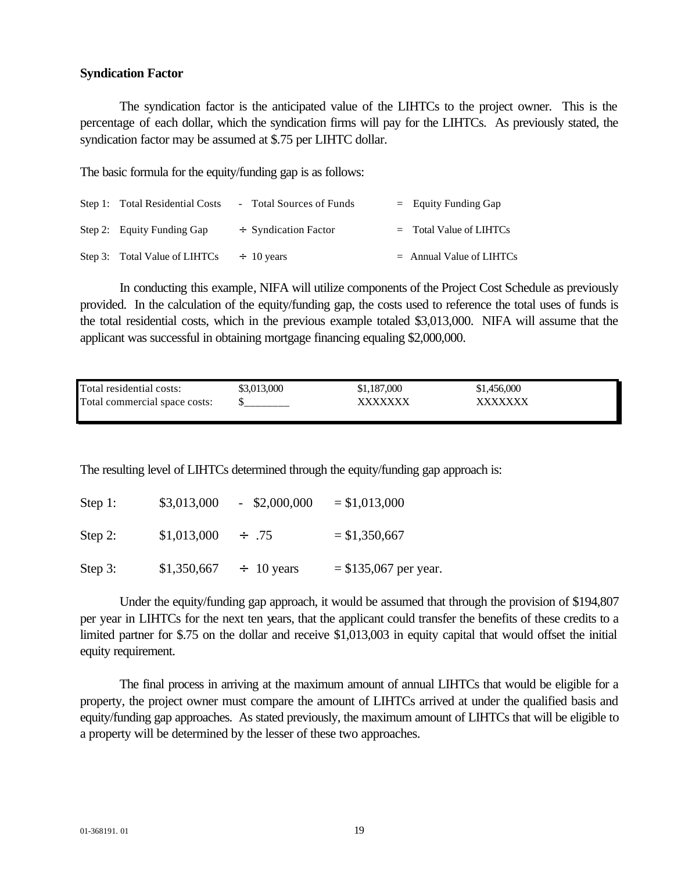### **Syndication Factor**

The syndication factor is the anticipated value of the LIHTCs to the project owner. This is the percentage of each dollar, which the syndication firms will pay for the LIHTCs. As previously stated, the syndication factor may be assumed at \$.75 per LIHTC dollar.

The basic formula for the equity/funding gap is as follows:

| Step 1: Total Residential Costs | - Total Sources of Funds  | $=$ Equity Funding Gap     |
|---------------------------------|---------------------------|----------------------------|
| Step 2: Equity Funding Gap      | $\div$ Syndication Factor | $=$ Total Value of LIHTCs  |
| Step 3: Total Value of LIHTCs   | $\div$ 10 years           | $=$ Annual Value of LIHTCs |

In conducting this example, NIFA will utilize components of the Project Cost Schedule as previously provided. In the calculation of the equity/funding gap, the costs used to reference the total uses of funds is the total residential costs, which in the previous example totaled \$3,013,000. NIFA will assume that the applicant was successful in obtaining mortgage financing equaling \$2,000,000.

| Total residential costs:      | \$3,013,000 | \$1,187,000 | \$1,456,000 |  |
|-------------------------------|-------------|-------------|-------------|--|
| Total commercial space costs: |             | XXXXXXX     | xxxxxxx     |  |
|                               |             |             |             |  |

The resulting level of LIHTCs determined through the equity/funding gap approach is:

| Step 1:    | \$3,013,000 | $-$ \$2,000,000 | $= $1,013,000$          |
|------------|-------------|-----------------|-------------------------|
| Step 2:    | \$1,013,000 | $\div$ .75      | $= $1,350,667$          |
| Step $3$ : | \$1,350,667 | $\div$ 10 years | $=$ \$135,067 per year. |

Under the equity/funding gap approach, it would be assumed that through the provision of \$194,807 per year in LIHTCs for the next ten years, that the applicant could transfer the benefits of these credits to a limited partner for \$.75 on the dollar and receive \$1,013,003 in equity capital that would offset the initial equity requirement.

The final process in arriving at the maximum amount of annual LIHTCs that would be eligible for a property, the project owner must compare the amount of LIHTCs arrived at under the qualified basis and equity/funding gap approaches. As stated previously, the maximum amount of LIHTCs that will be eligible to a property will be determined by the lesser of these two approaches.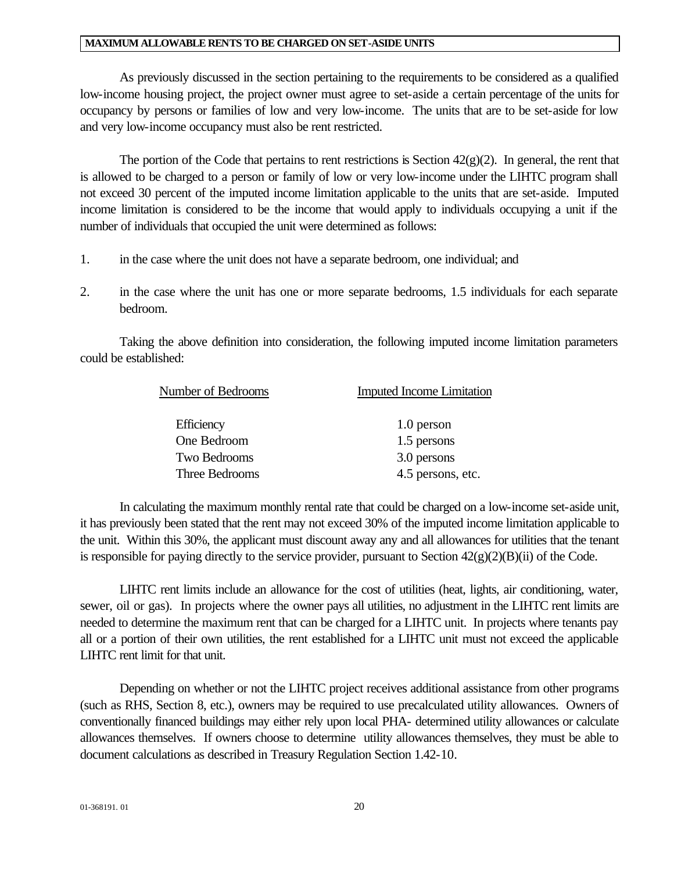#### **MAXIMUM ALLOWABLE RENTS TO BE CHARGED ON SET-ASIDE UNITS**

As previously discussed in the section pertaining to the requirements to be considered as a qualified low-income housing project, the project owner must agree to set-aside a certain percentage of the units for occupancy by persons or families of low and very low-income. The units that are to be set-aside for low and very low-income occupancy must also be rent restricted.

The portion of the Code that pertains to rent restrictions is Section  $42(g)(2)$ . In general, the rent that is allowed to be charged to a person or family of low or very low-income under the LIHTC program shall not exceed 30 percent of the imputed income limitation applicable to the units that are set-aside. Imputed income limitation is considered to be the income that would apply to individuals occupying a unit if the number of individuals that occupied the unit were determined as follows:

- 1. in the case where the unit does not have a separate bedroom, one individual; and
- 2. in the case where the unit has one or more separate bedrooms, 1.5 individuals for each separate bedroom.

Taking the above definition into consideration, the following imputed income limitation parameters could be established:

| Number of Bedrooms          | <b>Imputed Income Limitation</b> |  |
|-----------------------------|----------------------------------|--|
| Efficiency                  | 1.0 person                       |  |
| One Bedroom                 | 1.5 persons                      |  |
| Two Bedrooms<br>3.0 persons |                                  |  |
| Three Bedrooms              | 4.5 persons, etc.                |  |

In calculating the maximum monthly rental rate that could be charged on a low-income set-aside unit, it has previously been stated that the rent may not exceed 30% of the imputed income limitation applicable to the unit. Within this 30%, the applicant must discount away any and all allowances for utilities that the tenant is responsible for paying directly to the service provider, pursuant to Section  $42(g)(2)(B)(ii)$  of the Code.

LIHTC rent limits include an allowance for the cost of utilities (heat, lights, air conditioning, water, sewer, oil or gas). In projects where the owner pays all utilities, no adjustment in the LIHTC rent limits are needed to determine the maximum rent that can be charged for a LIHTC unit. In projects where tenants pay all or a portion of their own utilities, the rent established for a LIHTC unit must not exceed the applicable LIHTC rent limit for that unit.

Depending on whether or not the LIHTC project receives additional assistance from other programs (such as RHS, Section 8, etc.), owners may be required to use precalculated utility allowances. Owners of conventionally financed buildings may either rely upon local PHA- determined utility allowances or calculate allowances themselves. If owners choose to determine utility allowances themselves, they must be able to document calculations as described in Treasury Regulation Section 1.42-10.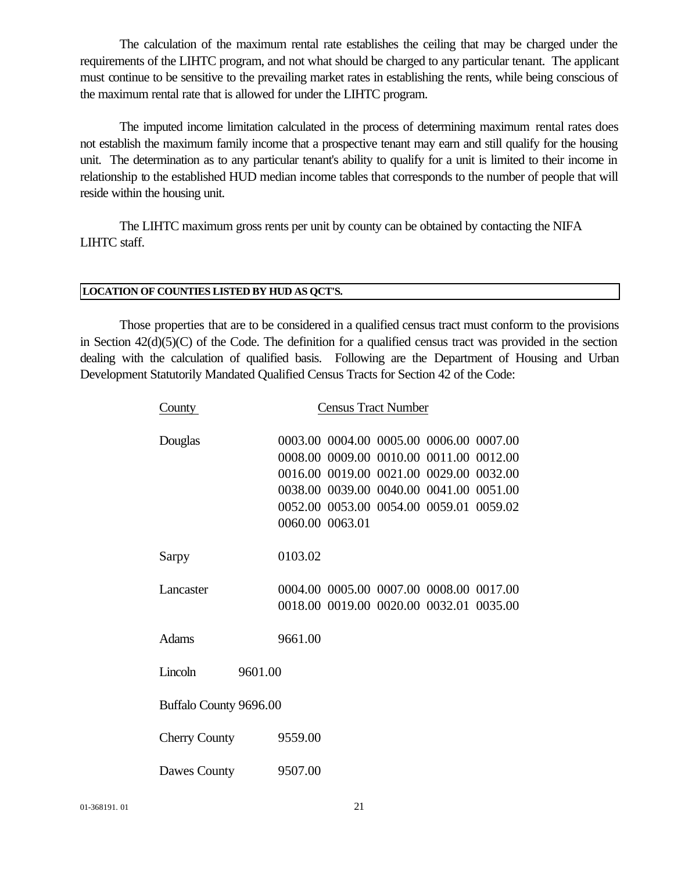The calculation of the maximum rental rate establishes the ceiling that may be charged under the requirements of the LIHTC program, and not what should be charged to any particular tenant. The applicant must continue to be sensitive to the prevailing market rates in establishing the rents, while being conscious of the maximum rental rate that is allowed for under the LIHTC program.

The imputed income limitation calculated in the process of determining maximum rental rates does not establish the maximum family income that a prospective tenant may earn and still qualify for the housing unit. The determination as to any particular tenant's ability to qualify for a unit is limited to their income in relationship to the established HUD median income tables that corresponds to the number of people that will reside within the housing unit.

The LIHTC maximum gross rents per unit by county can be obtained by contacting the NIFA LIHTC staff.

### **LOCATION OF COUNTIES LISTED BY HUD AS QCT'S.**

Those properties that are to be considered in a qualified census tract must conform to the provisions in Section  $42(d)(5)(C)$  of the Code. The definition for a qualified census tract was provided in the section dealing with the calculation of qualified basis. Following are the Department of Housing and Urban Development Statutorily Mandated Qualified Census Tracts for Section 42 of the Code:

| County                 | <b>Census Tract Number</b>              |  |  |  |  |
|------------------------|-----------------------------------------|--|--|--|--|
| Douglas                | 0003.00 0004.00 0005.00 0006.00 0007.00 |  |  |  |  |
|                        | 0008.00 0009.00 0010.00 0011.00 0012.00 |  |  |  |  |
|                        | 0016.00 0019.00 0021.00 0029.00 0032.00 |  |  |  |  |
|                        | 0038.00 0039.00 0040.00 0041.00 0051.00 |  |  |  |  |
|                        | 0052.00 0053.00 0054.00 0059.01 0059.02 |  |  |  |  |
|                        | 0060.00 0063.01                         |  |  |  |  |
|                        |                                         |  |  |  |  |
| Sarpy                  | 0103.02                                 |  |  |  |  |
|                        |                                         |  |  |  |  |
| Lancaster              | 0004.00 0005.00 0007.00 0008.00 0017.00 |  |  |  |  |
|                        | 0018.00 0019.00 0020.00 0032.01 0035.00 |  |  |  |  |
|                        |                                         |  |  |  |  |
| <b>Adams</b>           | 9661.00                                 |  |  |  |  |
|                        |                                         |  |  |  |  |
| Lincoln                | 9601.00                                 |  |  |  |  |
|                        |                                         |  |  |  |  |
| Buffalo County 9696.00 |                                         |  |  |  |  |
|                        |                                         |  |  |  |  |
| <b>Cherry County</b>   | 9559.00                                 |  |  |  |  |
|                        |                                         |  |  |  |  |
| Dawes County           | 9507.00                                 |  |  |  |  |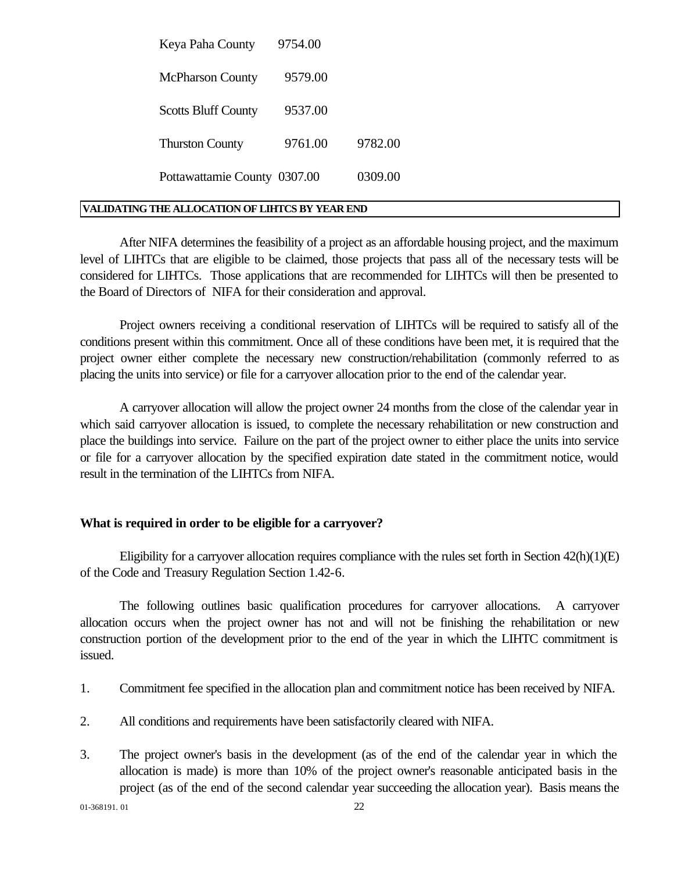| Keya Paha County             | 9754.00 |         |
|------------------------------|---------|---------|
| <b>McPharson County</b>      | 9579.00 |         |
| <b>Scotts Bluff County</b>   | 9537.00 |         |
| <b>Thurston County</b>       | 9761.00 | 9782.00 |
| Pottawattamie County 0307.00 |         | 0309.00 |

#### **VALIDATING THE ALLOCATION OF LIHTCS BY YEAR END**

After NIFA determines the feasibility of a project as an affordable housing project, and the maximum level of LIHTCs that are eligible to be claimed, those projects that pass all of the necessary tests will be considered for LIHTCs. Those applications that are recommended for LIHTCs will then be presented to the Board of Directors of NIFA for their consideration and approval.

Project owners receiving a conditional reservation of LIHTCs will be required to satisfy all of the conditions present within this commitment. Once all of these conditions have been met, it is required that the project owner either complete the necessary new construction/rehabilitation (commonly referred to as placing the units into service) or file for a carryover allocation prior to the end of the calendar year.

A carryover allocation will allow the project owner 24 months from the close of the calendar year in which said carryover allocation is issued, to complete the necessary rehabilitation or new construction and place the buildings into service. Failure on the part of the project owner to either place the units into service or file for a carryover allocation by the specified expiration date stated in the commitment notice, would result in the termination of the LIHTCs from NIFA.

### **What is required in order to be eligible for a carryover?**

Eligibility for a carryover allocation requires compliance with the rules set forth in Section 42(h)(1)(E) of the Code and Treasury Regulation Section 1.42-6.

The following outlines basic qualification procedures for carryover allocations. A carryover allocation occurs when the project owner has not and will not be finishing the rehabilitation or new construction portion of the development prior to the end of the year in which the LIHTC commitment is issued.

- 1. Commitment fee specified in the allocation plan and commitment notice has been received by NIFA.
- 2. All conditions and requirements have been satisfactorily cleared with NIFA.
- 3. The project owner's basis in the development (as of the end of the calendar year in which the allocation is made) is more than 10% of the project owner's reasonable anticipated basis in the project (as of the end of the second calendar year succeeding the allocation year). Basis means the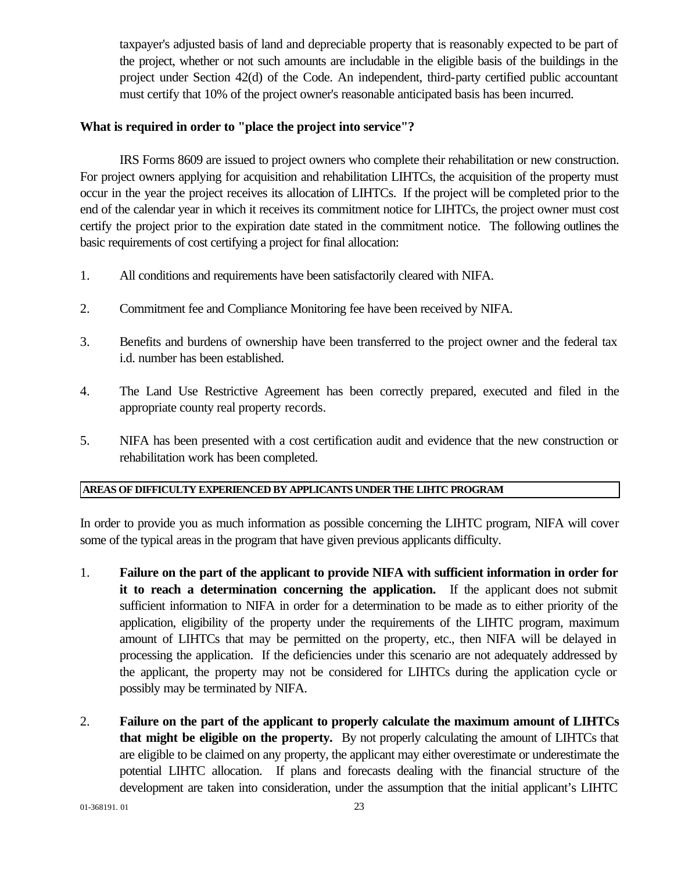taxpayer's adjusted basis of land and depreciable property that is reasonably expected to be part of the project, whether or not such amounts are includable in the eligible basis of the buildings in the project under Section 42(d) of the Code. An independent, third-party certified public accountant must certify that 10% of the project owner's reasonable anticipated basis has been incurred.

### **What is required in order to "place the project into service"?**

IRS Forms 8609 are issued to project owners who complete their rehabilitation or new construction. For project owners applying for acquisition and rehabilitation LIHTCs, the acquisition of the property must occur in the year the project receives its allocation of LIHTCs. If the project will be completed prior to the end of the calendar year in which it receives its commitment notice for LIHTCs, the project owner must cost certify the project prior to the expiration date stated in the commitment notice. The following outlines the basic requirements of cost certifying a project for final allocation:

- 1. All conditions and requirements have been satisfactorily cleared with NIFA.
- 2. Commitment fee and Compliance Monitoring fee have been received by NIFA.
- 3. Benefits and burdens of ownership have been transferred to the project owner and the federal tax i.d. number has been established.
- 4. The Land Use Restrictive Agreement has been correctly prepared, executed and filed in the appropriate county real property records.
- 5. NIFA has been presented with a cost certification audit and evidence that the new construction or rehabilitation work has been completed.

### **AREAS OF DIFFICULTY EXPERIENCED BY APPLICANTS UNDER THE LIHTC PROGRAM**

In order to provide you as much information as possible concerning the LIHTC program, NIFA will cover some of the typical areas in the program that have given previous applicants difficulty.

- 1. **Failure on the part of the applicant to provide NIFA with sufficient information in order for it to reach a determination concerning the application.** If the applicant does not submit sufficient information to NIFA in order for a determination to be made as to either priority of the application, eligibility of the property under the requirements of the LIHTC program, maximum amount of LIHTCs that may be permitted on the property, etc., then NIFA will be delayed in processing the application. If the deficiencies under this scenario are not adequately addressed by the applicant, the property may not be considered for LIHTCs during the application cycle or possibly may be terminated by NIFA.
- 2. **Failure on the part of the applicant to properly calculate the maximum amount of LIHTCs that might be eligible on the property.** By not properly calculating the amount of LIHTCs that are eligible to be claimed on any property, the applicant may either overestimate or underestimate the potential LIHTC allocation. If plans and forecasts dealing with the financial structure of the development are taken into consideration, under the assumption that the initial applicant's LIHTC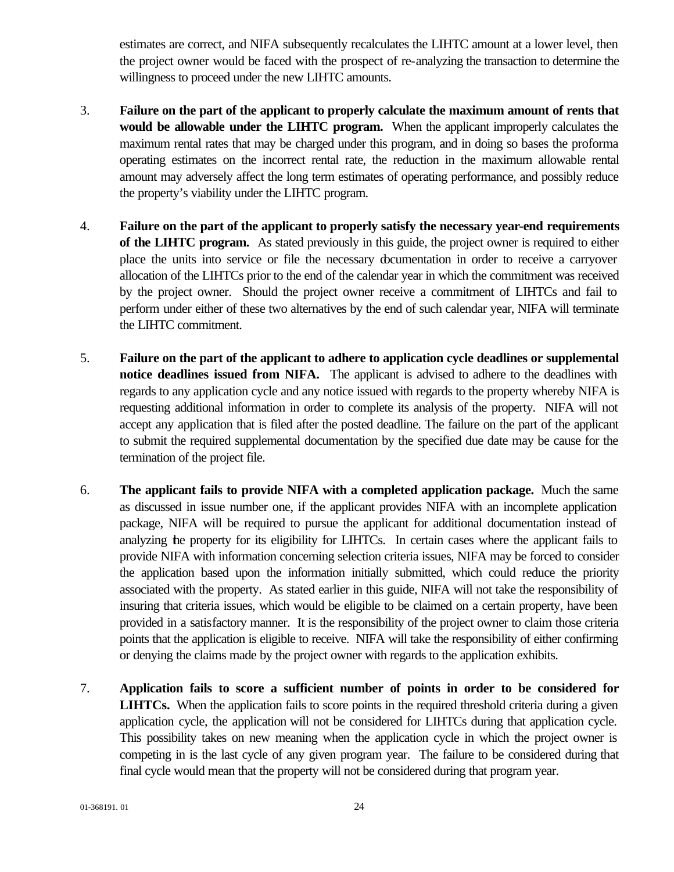estimates are correct, and NIFA subsequently recalculates the LIHTC amount at a lower level, then the project owner would be faced with the prospect of re-analyzing the transaction to determine the willingness to proceed under the new LIHTC amounts.

- 3. **Failure on the part of the applicant to properly calculate the maximum amount of rents that would be allowable under the LIHTC program.** When the applicant improperly calculates the maximum rental rates that may be charged under this program, and in doing so bases the proforma operating estimates on the incorrect rental rate, the reduction in the maximum allowable rental amount may adversely affect the long term estimates of operating performance, and possibly reduce the property's viability under the LIHTC program.
- 4. **Failure on the part of the applicant to properly satisfy the necessary year-end requirements of the LIHTC program.** As stated previously in this guide, the project owner is required to either place the units into service or file the necessary documentation in order to receive a carryover allocation of the LIHTCs prior to the end of the calendar year in which the commitment was received by the project owner. Should the project owner receive a commitment of LIHTCs and fail to perform under either of these two alternatives by the end of such calendar year, NIFA will terminate the LIHTC commitment.
- 5. **Failure on the part of the applicant to adhere to application cycle deadlines or supplemental notice deadlines issued from NIFA.** The applicant is advised to adhere to the deadlines with regards to any application cycle and any notice issued with regards to the property whereby NIFA is requesting additional information in order to complete its analysis of the property. NIFA will not accept any application that is filed after the posted deadline. The failure on the part of the applicant to submit the required supplemental documentation by the specified due date may be cause for the termination of the project file.
- 6. **The applicant fails to provide NIFA with a completed application package.** Much the same as discussed in issue number one, if the applicant provides NIFA with an incomplete application package, NIFA will be required to pursue the applicant for additional documentation instead of analyzing the property for its eligibility for LIHTCs. In certain cases where the applicant fails to provide NIFA with information concerning selection criteria issues, NIFA may be forced to consider the application based upon the information initially submitted, which could reduce the priority associated with the property. As stated earlier in this guide, NIFA will not take the responsibility of insuring that criteria issues, which would be eligible to be claimed on a certain property, have been provided in a satisfactory manner. It is the responsibility of the project owner to claim those criteria points that the application is eligible to receive. NIFA will take the responsibility of either confirming or denying the claims made by the project owner with regards to the application exhibits.
- 7. **Application fails to score a sufficient number of points in order to be considered for LIHTCs.** When the application fails to score points in the required threshold criteria during a given application cycle, the application will not be considered for LIHTCs during that application cycle. This possibility takes on new meaning when the application cycle in which the project owner is competing in is the last cycle of any given program year. The failure to be considered during that final cycle would mean that the property will not be considered during that program year.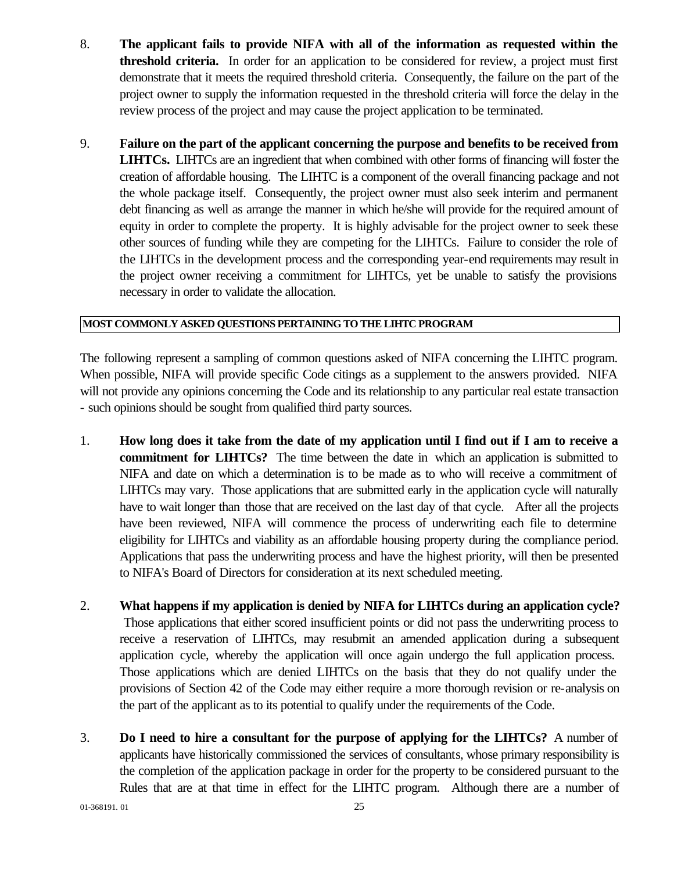- 8. **The applicant fails to provide NIFA with all of the information as requested within the threshold criteria.** In order for an application to be considered for review, a project must first demonstrate that it meets the required threshold criteria. Consequently, the failure on the part of the project owner to supply the information requested in the threshold criteria will force the delay in the review process of the project and may cause the project application to be terminated.
- 9. **Failure on the part of the applicant concerning the purpose and benefits to be received from LIHTCs.** LIHTCs are an ingredient that when combined with other forms of financing will foster the creation of affordable housing. The LIHTC is a component of the overall financing package and not the whole package itself. Consequently, the project owner must also seek interim and permanent debt financing as well as arrange the manner in which he/she will provide for the required amount of equity in order to complete the property. It is highly advisable for the project owner to seek these other sources of funding while they are competing for the LIHTCs. Failure to consider the role of the LIHTCs in the development process and the corresponding year-end requirements may result in the project owner receiving a commitment for LIHTCs, yet be unable to satisfy the provisions necessary in order to validate the allocation.

### **MOST COMMONLY ASKED QUESTIONS PERTAINING TO THE LIHTC PROGRAM**

The following represent a sampling of common questions asked of NIFA concerning the LIHTC program. When possible, NIFA will provide specific Code citings as a supplement to the answers provided. NIFA will not provide any opinions concerning the Code and its relationship to any particular real estate transaction - such opinions should be sought from qualified third party sources.

- 1. **How long does it take from the date of my application until I find out if I am to receive a commitment for LIHTCs?** The time between the date in which an application is submitted to NIFA and date on which a determination is to be made as to who will receive a commitment of LIHTCs may vary. Those applications that are submitted early in the application cycle will naturally have to wait longer than those that are received on the last day of that cycle. After all the projects have been reviewed, NIFA will commence the process of underwriting each file to determine eligibility for LIHTCs and viability as an affordable housing property during the compliance period. Applications that pass the underwriting process and have the highest priority, will then be presented to NIFA's Board of Directors for consideration at its next scheduled meeting.
- 2. **What happens if my application is denied by NIFA for LIHTCs during an application cycle?** Those applications that either scored insufficient points or did not pass the underwriting process to receive a reservation of LIHTCs, may resubmit an amended application during a subsequent application cycle, whereby the application will once again undergo the full application process. Those applications which are denied LIHTCs on the basis that they do not qualify under the provisions of Section 42 of the Code may either require a more thorough revision or re-analysis on the part of the applicant as to its potential to qualify under the requirements of the Code.
- 3. **Do I need to hire a consultant for the purpose of applying for the LIHTCs?** A number of applicants have historically commissioned the services of consultants, whose primary responsibility is the completion of the application package in order for the property to be considered pursuant to the Rules that are at that time in effect for the LIHTC program. Although there are a number of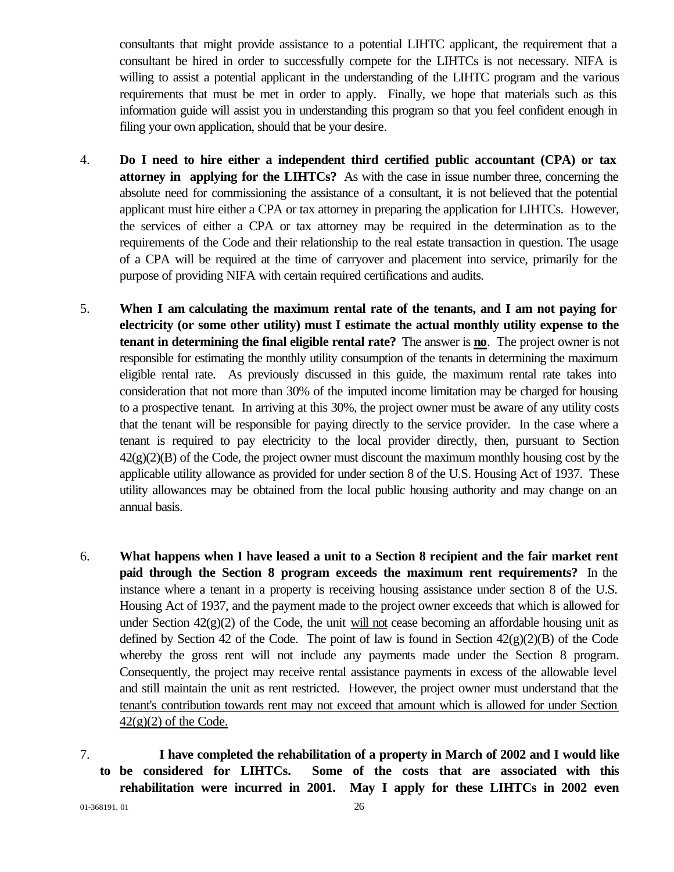consultants that might provide assistance to a potential LIHTC applicant, the requirement that a consultant be hired in order to successfully compete for the LIHTCs is not necessary. NIFA is willing to assist a potential applicant in the understanding of the LIHTC program and the various requirements that must be met in order to apply. Finally, we hope that materials such as this information guide will assist you in understanding this program so that you feel confident enough in filing your own application, should that be your desire.

- 4. **Do I need to hire either a independent third certified public accountant (CPA) or tax attorney in applying for the LIHTCs?** As with the case in issue number three, concerning the absolute need for commissioning the assistance of a consultant, it is not believed that the potential applicant must hire either a CPA or tax attorney in preparing the application for LIHTCs. However, the services of either a CPA or tax attorney may be required in the determination as to the requirements of the Code and their relationship to the real estate transaction in question. The usage of a CPA will be required at the time of carryover and placement into service, primarily for the purpose of providing NIFA with certain required certifications and audits.
- 5. **When I am calculating the maximum rental rate of the tenants, and I am not paying for electricity (or some other utility) must I estimate the actual monthly utility expense to the tenant in determining the final eligible rental rate?** The answer is **no**. The project owner is not responsible for estimating the monthly utility consumption of the tenants in determining the maximum eligible rental rate. As previously discussed in this guide, the maximum rental rate takes into consideration that not more than 30% of the imputed income limitation may be charged for housing to a prospective tenant. In arriving at this 30%, the project owner must be aware of any utility costs that the tenant will be responsible for paying directly to the service provider. In the case where a tenant is required to pay electricity to the local provider directly, then, pursuant to Section  $42(g)(2)(B)$  of the Code, the project owner must discount the maximum monthly housing cost by the applicable utility allowance as provided for under section 8 of the U.S. Housing Act of 1937. These utility allowances may be obtained from the local public housing authority and may change on an annual basis.
- 6. **What happens when I have leased a unit to a Section 8 recipient and the fair market rent paid through the Section 8 program exceeds the maximum rent requirements?** In the instance where a tenant in a property is receiving housing assistance under section 8 of the U.S. Housing Act of 1937, and the payment made to the project owner exceeds that which is allowed for under Section  $42(g)(2)$  of the Code, the unit will not cease becoming an affordable housing unit as defined by Section 42 of the Code. The point of law is found in Section  $42(g)(2)(B)$  of the Code whereby the gross rent will not include any payments made under the Section 8 program. Consequently, the project may receive rental assistance payments in excess of the allowable level and still maintain the unit as rent restricted. However, the project owner must understand that the tenant's contribution towards rent may not exceed that amount which is allowed for under Section  $42(g)(2)$  of the Code.
- 7. **I have completed the rehabilitation of a property in March of 2002 and I would like to be considered for LIHTCs. Some of the costs that are associated with this rehabilitation were incurred in 2001. May I apply for these LIHTCs in 2002 even**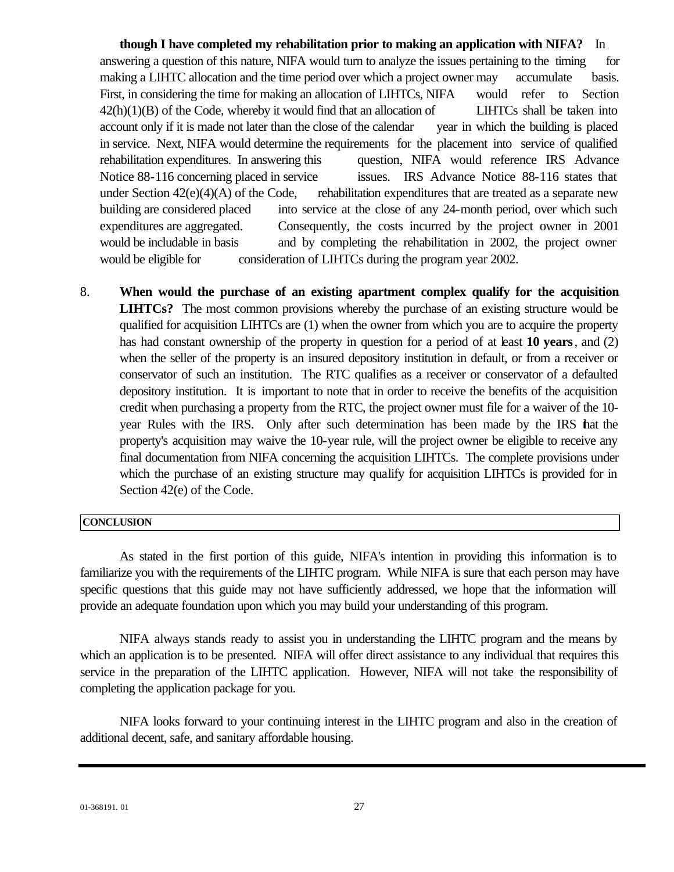**though I have completed my rehabilitation prior to making an application with NIFA?** In answering a question of this nature, NIFA would turn to analyze the issues pertaining to the timing for making a LIHTC allocation and the time period over which a project owner may accumulate basis. First, in considering the time for making an allocation of LIHTCs, NIFA would refer to Section  $42(h)(1)(B)$  of the Code, whereby it would find that an allocation of LIHTCs shall be taken into account only if it is made not later than the close of the calendar vear in which the building is placed in service. Next, NIFA would determine the requirements for the placement into service of qualified rehabilitation expenditures. In answering this question, NIFA would reference IRS Advance Notice 88-116 concerning placed in service issues. IRS Advance Notice 88-116 states that under Section  $42(e)(4)(A)$  of the Code, rehabilitation expenditures that are treated as a separate new building are considered placed into service at the close of any 24-month period, over which such expenditures are aggregated. Consequently, the costs incurred by the project owner in 2001 would be includable in basis and by completing the rehabilitation in 2002, the project owner would be eligible for consideration of LIHTCs during the program year 2002.

8. **When would the purchase of an existing apartment complex qualify for the acquisition LIHTCs?** The most common provisions whereby the purchase of an existing structure would be qualified for acquisition LIHTCs are (1) when the owner from which you are to acquire the property has had constant ownership of the property in question for a period of at least 10 years, and (2) when the seller of the property is an insured depository institution in default, or from a receiver or conservator of such an institution. The RTC qualifies as a receiver or conservator of a defaulted depository institution. It is important to note that in order to receive the benefits of the acquisition credit when purchasing a property from the RTC, the project owner must file for a waiver of the 10 year Rules with the IRS. Only after such determination has been made by the IRS that the property's acquisition may waive the 10-year rule, will the project owner be eligible to receive any final documentation from NIFA concerning the acquisition LIHTCs. The complete provisions under which the purchase of an existing structure may qualify for acquisition LIHTCs is provided for in Section 42(e) of the Code.

### **CONCLUSION**

As stated in the first portion of this guide, NIFA's intention in providing this information is to familiarize you with the requirements of the LIHTC program. While NIFA is sure that each person may have specific questions that this guide may not have sufficiently addressed, we hope that the information will provide an adequate foundation upon which you may build your understanding of this program.

NIFA always stands ready to assist you in understanding the LIHTC program and the means by which an application is to be presented. NIFA will offer direct assistance to any individual that requires this service in the preparation of the LIHTC application. However, NIFA will not take the responsibility of completing the application package for you.

NIFA looks forward to your continuing interest in the LIHTC program and also in the creation of additional decent, safe, and sanitary affordable housing.